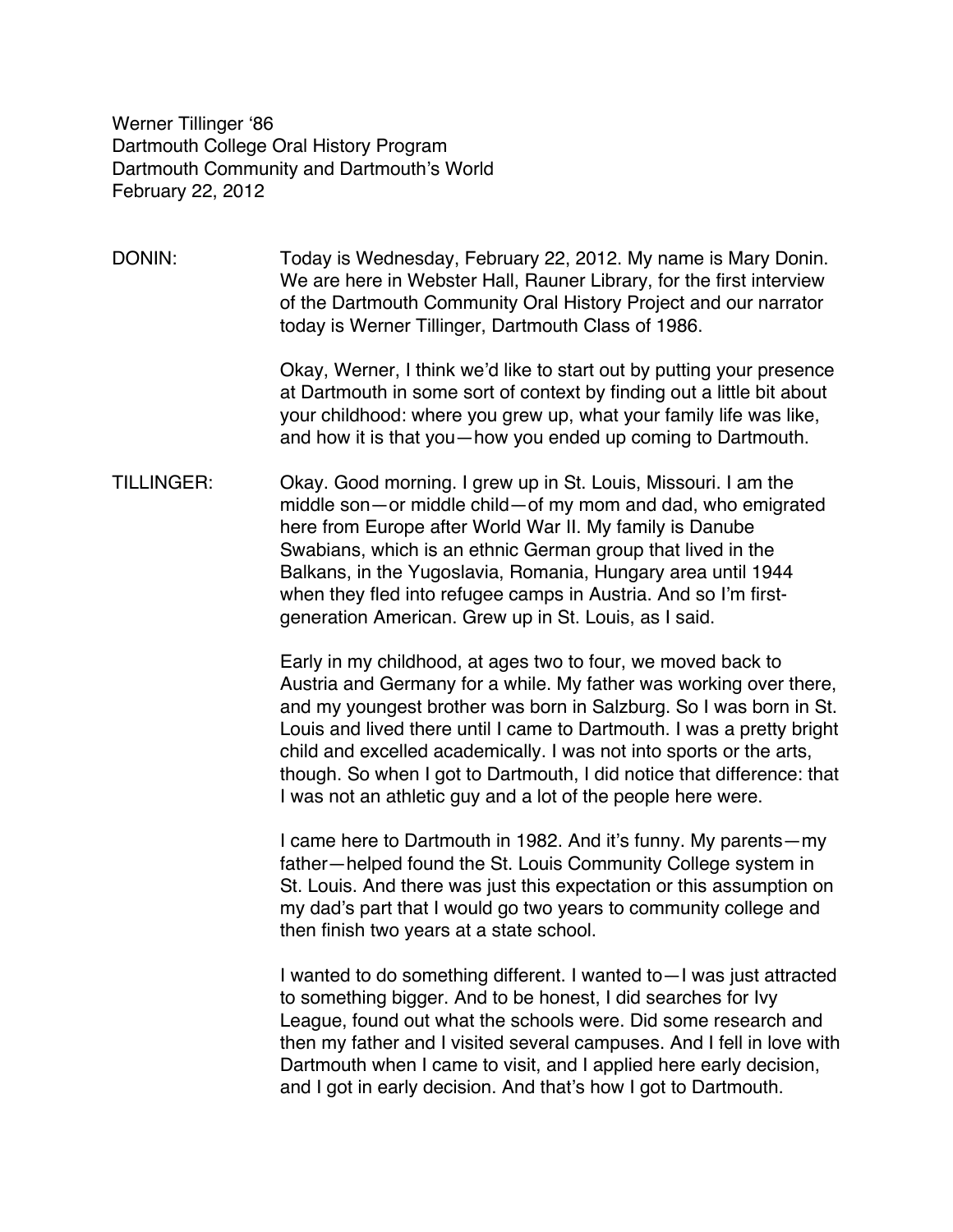Werner Tillinger ʻ86 Dartmouth College Oral History Program Dartmouth Community and Dartmouth's World February 22, 2012

DONIN: Today is Wednesday, February 22, 2012. My name is Mary Donin. We are here in Webster Hall, Rauner Library, for the first interview of the Dartmouth Community Oral History Project and our narrator today is Werner Tillinger, Dartmouth Class of 1986.

> Okay, Werner, I think we'd like to start out by putting your presence at Dartmouth in some sort of context by finding out a little bit about your childhood: where you grew up, what your family life was like, and how it is that you—how you ended up coming to Dartmouth.

TILLINGER: Okay. Good morning. I grew up in St. Louis, Missouri. I am the middle son—or middle child—of my mom and dad, who emigrated here from Europe after World War II. My family is Danube Swabians, which is an ethnic German group that lived in the Balkans, in the Yugoslavia, Romania, Hungary area until 1944 when they fled into refugee camps in Austria. And so I'm firstgeneration American. Grew up in St. Louis, as I said.

> Early in my childhood, at ages two to four, we moved back to Austria and Germany for a while. My father was working over there, and my youngest brother was born in Salzburg. So I was born in St. Louis and lived there until I came to Dartmouth. I was a pretty bright child and excelled academically. I was not into sports or the arts, though. So when I got to Dartmouth, I did notice that difference: that I was not an athletic guy and a lot of the people here were.

I came here to Dartmouth in 1982. And it's funny. My parents—my father—helped found the St. Louis Community College system in St. Louis. And there was just this expectation or this assumption on my dad's part that I would go two years to community college and then finish two years at a state school.

I wanted to do something different. I wanted to—I was just attracted to something bigger. And to be honest, I did searches for Ivy League, found out what the schools were. Did some research and then my father and I visited several campuses. And I fell in love with Dartmouth when I came to visit, and I applied here early decision, and I got in early decision. And that's how I got to Dartmouth.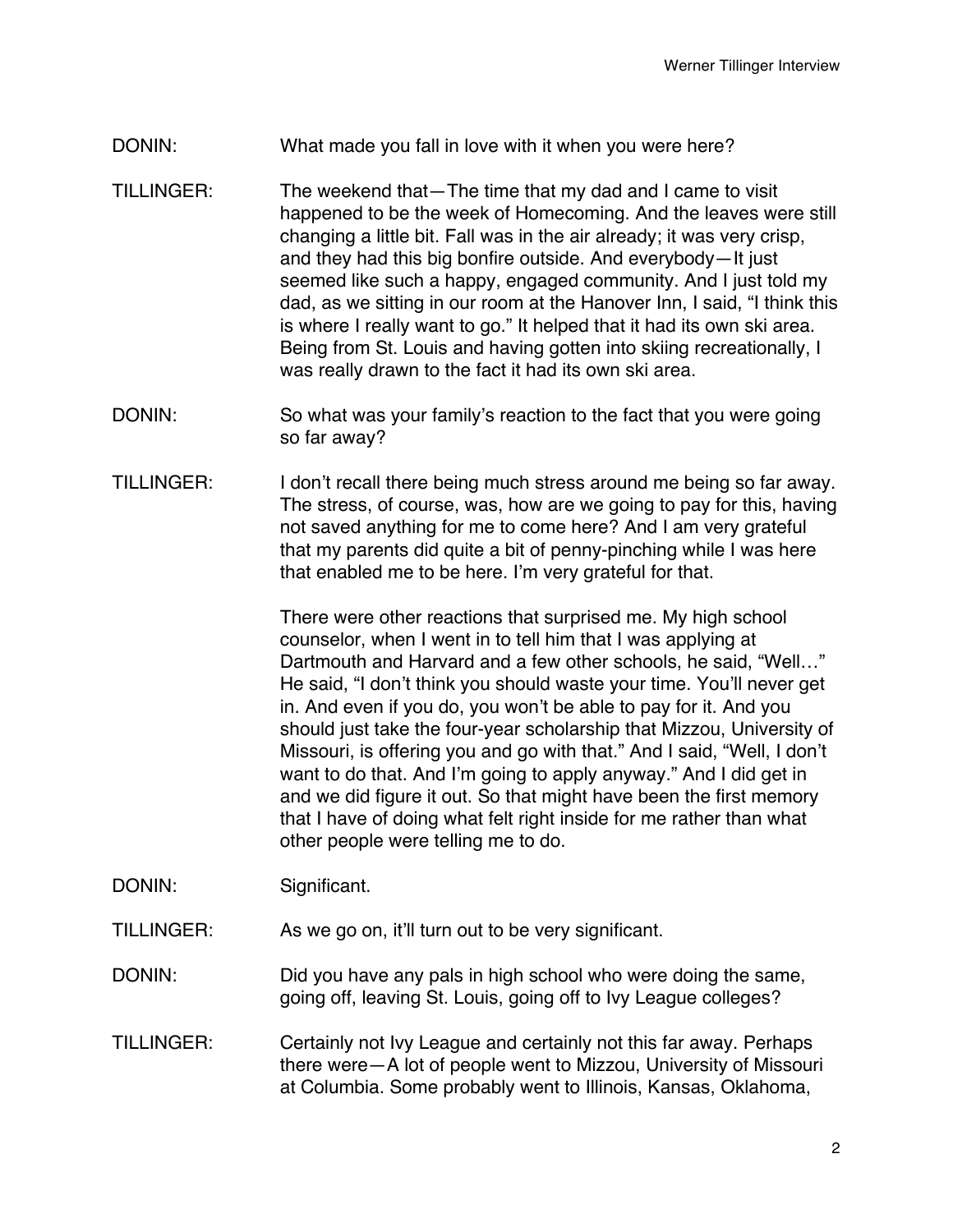## DONIN: What made you fall in love with it when you were here?

- TILLINGER: The weekend that—The time that my dad and I came to visit happened to be the week of Homecoming. And the leaves were still changing a little bit. Fall was in the air already; it was very crisp, and they had this big bonfire outside. And everybody—It just seemed like such a happy, engaged community. And I just told my dad, as we sitting in our room at the Hanover Inn, I said, "I think this is where I really want to go." It helped that it had its own ski area. Being from St. Louis and having gotten into skiing recreationally, I was really drawn to the fact it had its own ski area.
- DONIN: So what was your family's reaction to the fact that you were going so far away?
- TILLINGER: I don't recall there being much stress around me being so far away. The stress, of course, was, how are we going to pay for this, having not saved anything for me to come here? And I am very grateful that my parents did quite a bit of penny-pinching while I was here that enabled me to be here. I'm very grateful for that.

There were other reactions that surprised me. My high school counselor, when I went in to tell him that I was applying at Dartmouth and Harvard and a few other schools, he said, "Well…" He said, "I don't think you should waste your time. You'll never get in. And even if you do, you won't be able to pay for it. And you should just take the four-year scholarship that Mizzou, University of Missouri, is offering you and go with that." And I said, "Well, I don't want to do that. And I'm going to apply anyway." And I did get in and we did figure it out. So that might have been the first memory that I have of doing what felt right inside for me rather than what other people were telling me to do.

- DONIN: Significant.
- TILLINGER: As we go on, it'll turn out to be very significant.
- DONIN: DONIN: Did you have any pals in high school who were doing the same, going off, leaving St. Louis, going off to Ivy League colleges?
- TILLINGER: Certainly not Ivy League and certainly not this far away. Perhaps there were—A lot of people went to Mizzou, University of Missouri at Columbia. Some probably went to Illinois, Kansas, Oklahoma,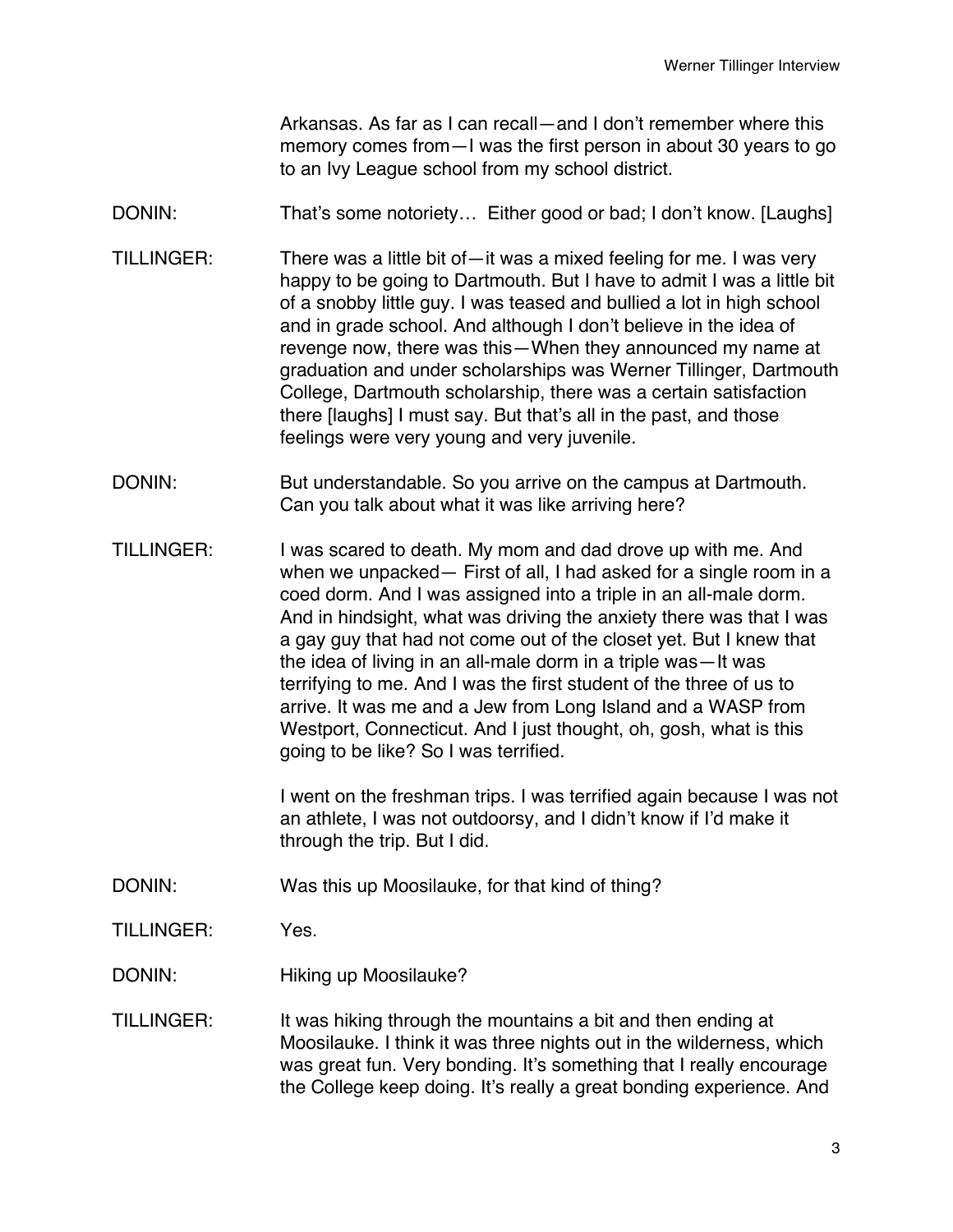Arkansas. As far as I can recall—and I don't remember where this memory comes from—I was the first person in about 30 years to go to an Ivy League school from my school district.

DONIN: That's some notoriety... Either good or bad; I don't know. [Laughs]

- TILLINGER: There was a little bit of—it was a mixed feeling for me. I was very happy to be going to Dartmouth. But I have to admit I was a little bit of a snobby little guy. I was teased and bullied a lot in high school and in grade school. And although I don't believe in the idea of revenge now, there was this—When they announced my name at graduation and under scholarships was Werner Tillinger, Dartmouth College, Dartmouth scholarship, there was a certain satisfaction there [laughs] I must say. But that's all in the past, and those feelings were very young and very juvenile.
- DONIN: But understandable. So you arrive on the campus at Dartmouth. Can you talk about what it was like arriving here?
- TILLINGER: I was scared to death. My mom and dad drove up with me. And when we unpacked— First of all, I had asked for a single room in a coed dorm. And I was assigned into a triple in an all-male dorm. And in hindsight, what was driving the anxiety there was that I was a gay guy that had not come out of the closet yet. But I knew that the idea of living in an all-male dorm in a triple was—It was terrifying to me. And I was the first student of the three of us to arrive. It was me and a Jew from Long Island and a WASP from Westport, Connecticut. And I just thought, oh, gosh, what is this going to be like? So I was terrified.

I went on the freshman trips. I was terrified again because I was not an athlete, I was not outdoorsy, and I didn't know if I'd make it through the trip. But I did.

- DONIN: Was this up Moosilauke, for that kind of thing?
- TILLINGER: Yes.
- DONIN: Hiking up Moosilauke?
- TILLINGER: It was hiking through the mountains a bit and then ending at Moosilauke. I think it was three nights out in the wilderness, which was great fun. Very bonding. It's something that I really encourage the College keep doing. It's really a great bonding experience. And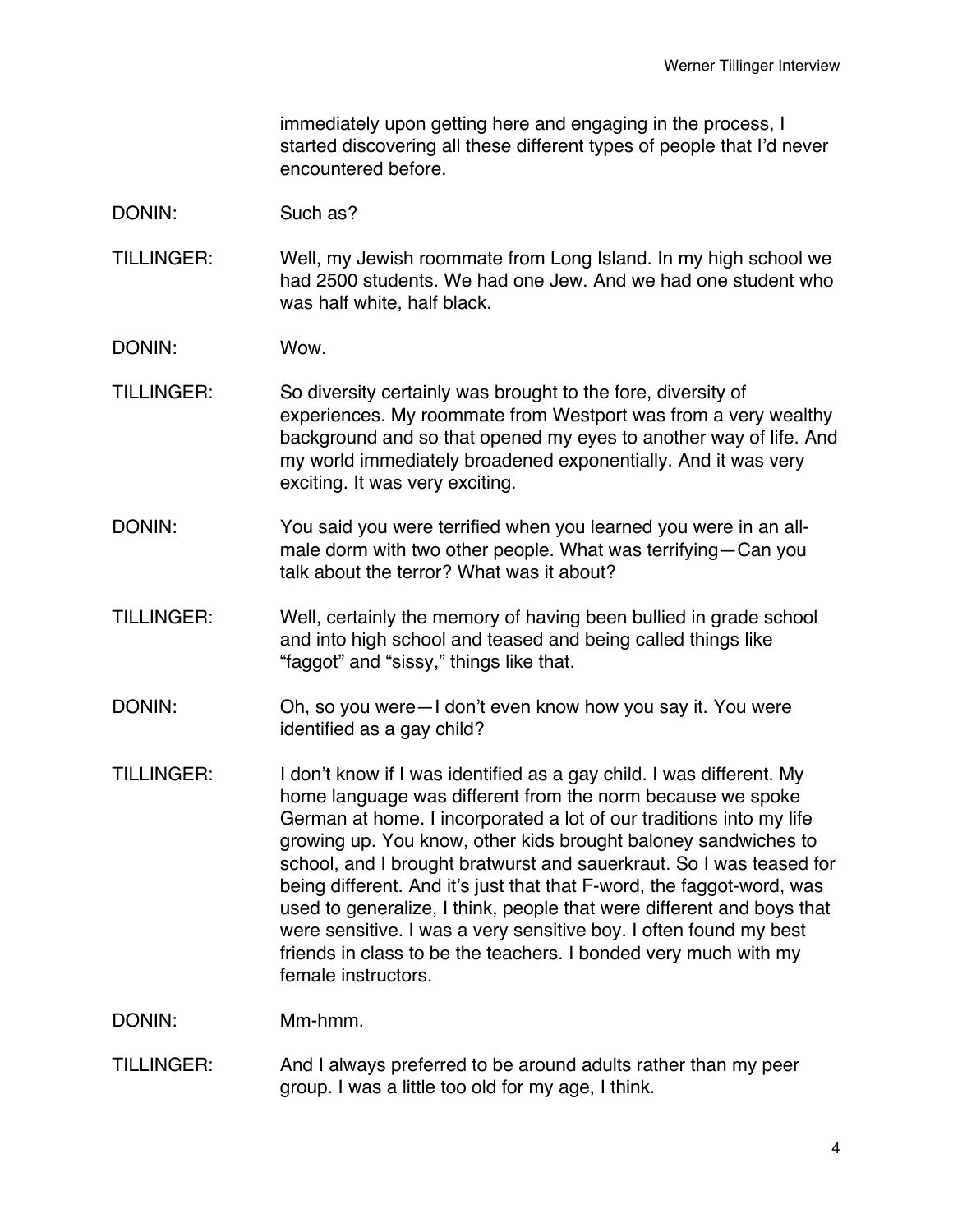immediately upon getting here and engaging in the process, I started discovering all these different types of people that I'd never encountered before.

- DONIN: Such as?
- TILLINGER: Well, my Jewish roommate from Long Island. In my high school we had 2500 students. We had one Jew. And we had one student who was half white, half black.
- DONIN: Wow.
- TILLINGER: So diversity certainly was brought to the fore, diversity of experiences. My roommate from Westport was from a very wealthy background and so that opened my eyes to another way of life. And my world immediately broadened exponentially. And it was very exciting. It was very exciting.
- DONIN: You said you were terrified when you learned you were in an allmale dorm with two other people. What was terrifying—Can you talk about the terror? What was it about?
- TILLINGER: Well, certainly the memory of having been bullied in grade school and into high school and teased and being called things like "faggot" and "sissy," things like that.
- DONIN: Oh, so you were—I don't even know how you say it. You were identified as a gay child?
- TILLINGER: I don't know if I was identified as a gay child. I was different. My home language was different from the norm because we spoke German at home. I incorporated a lot of our traditions into my life growing up. You know, other kids brought baloney sandwiches to school, and I brought bratwurst and sauerkraut. So I was teased for being different. And it's just that that F-word, the faggot-word, was used to generalize, I think, people that were different and boys that were sensitive. I was a very sensitive boy. I often found my best friends in class to be the teachers. I bonded very much with my female instructors.
- DONIN: Mm-hmm.
- TILLINGER: And I always preferred to be around adults rather than my peer group. I was a little too old for my age, I think.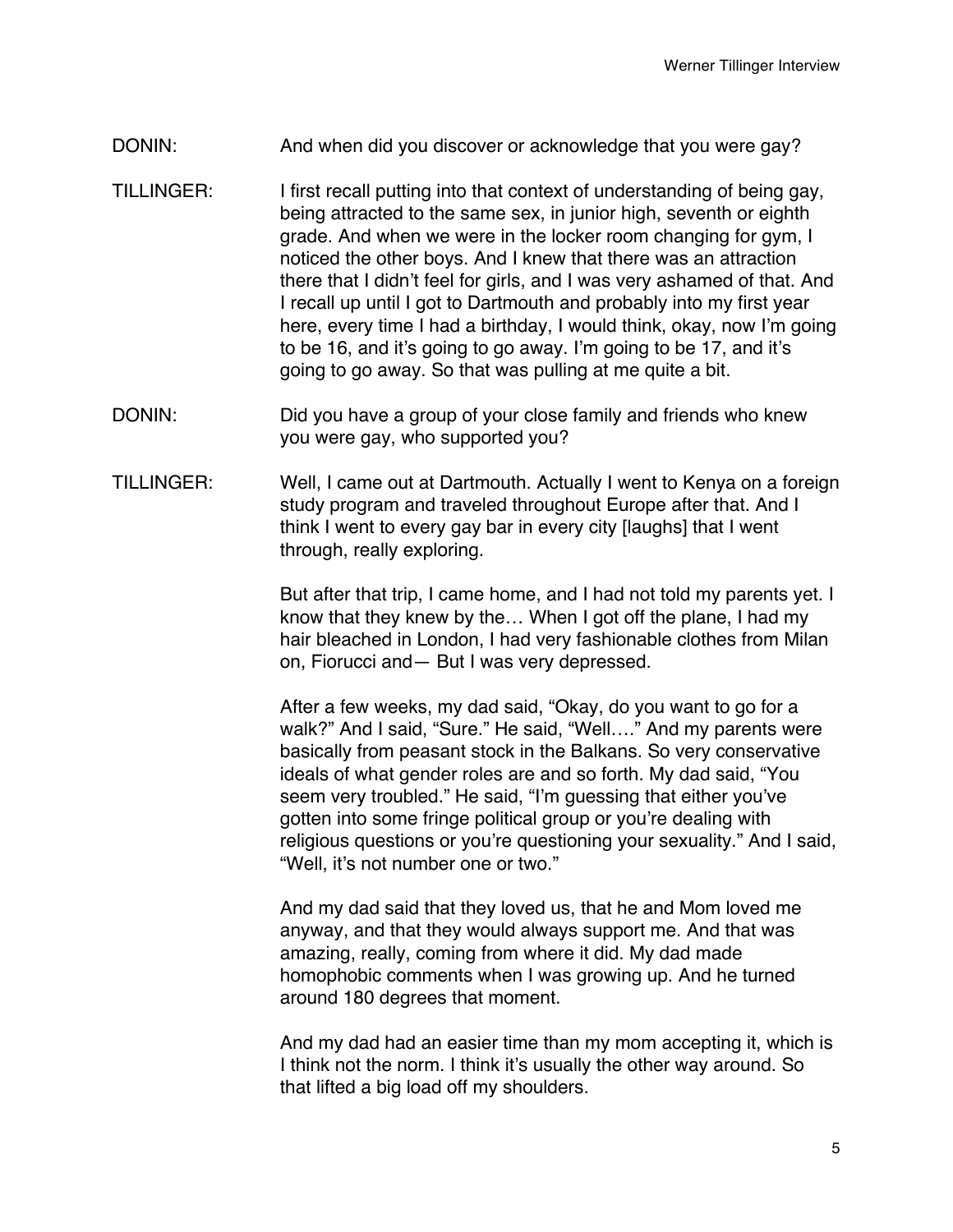- DONIN: And when did you discover or acknowledge that you were gay?
- TILLINGER: I first recall putting into that context of understanding of being gay, being attracted to the same sex, in junior high, seventh or eighth grade. And when we were in the locker room changing for gym, I noticed the other boys. And I knew that there was an attraction there that I didn't feel for girls, and I was very ashamed of that. And I recall up until I got to Dartmouth and probably into my first year here, every time I had a birthday, I would think, okay, now I'm going to be 16, and it's going to go away. I'm going to be 17, and it's going to go away. So that was pulling at me quite a bit.
- DONIN: Did you have a group of your close family and friends who knew you were gay, who supported you?
- TILLINGER: Well, I came out at Dartmouth. Actually I went to Kenya on a foreign study program and traveled throughout Europe after that. And I think I went to every gay bar in every city [laughs] that I went through, really exploring.

But after that trip, I came home, and I had not told my parents yet. I know that they knew by the… When I got off the plane, I had my hair bleached in London, I had very fashionable clothes from Milan on, Fiorucci and— But I was very depressed.

After a few weeks, my dad said, "Okay, do you want to go for a walk?" And I said, "Sure." He said, "Well…." And my parents were basically from peasant stock in the Balkans. So very conservative ideals of what gender roles are and so forth. My dad said, "You seem very troubled." He said, "I'm guessing that either you've gotten into some fringe political group or you're dealing with religious questions or you're questioning your sexuality." And I said, "Well, it's not number one or two."

And my dad said that they loved us, that he and Mom loved me anyway, and that they would always support me. And that was amazing, really, coming from where it did. My dad made homophobic comments when I was growing up. And he turned around 180 degrees that moment.

And my dad had an easier time than my mom accepting it, which is I think not the norm. I think it's usually the other way around. So that lifted a big load off my shoulders.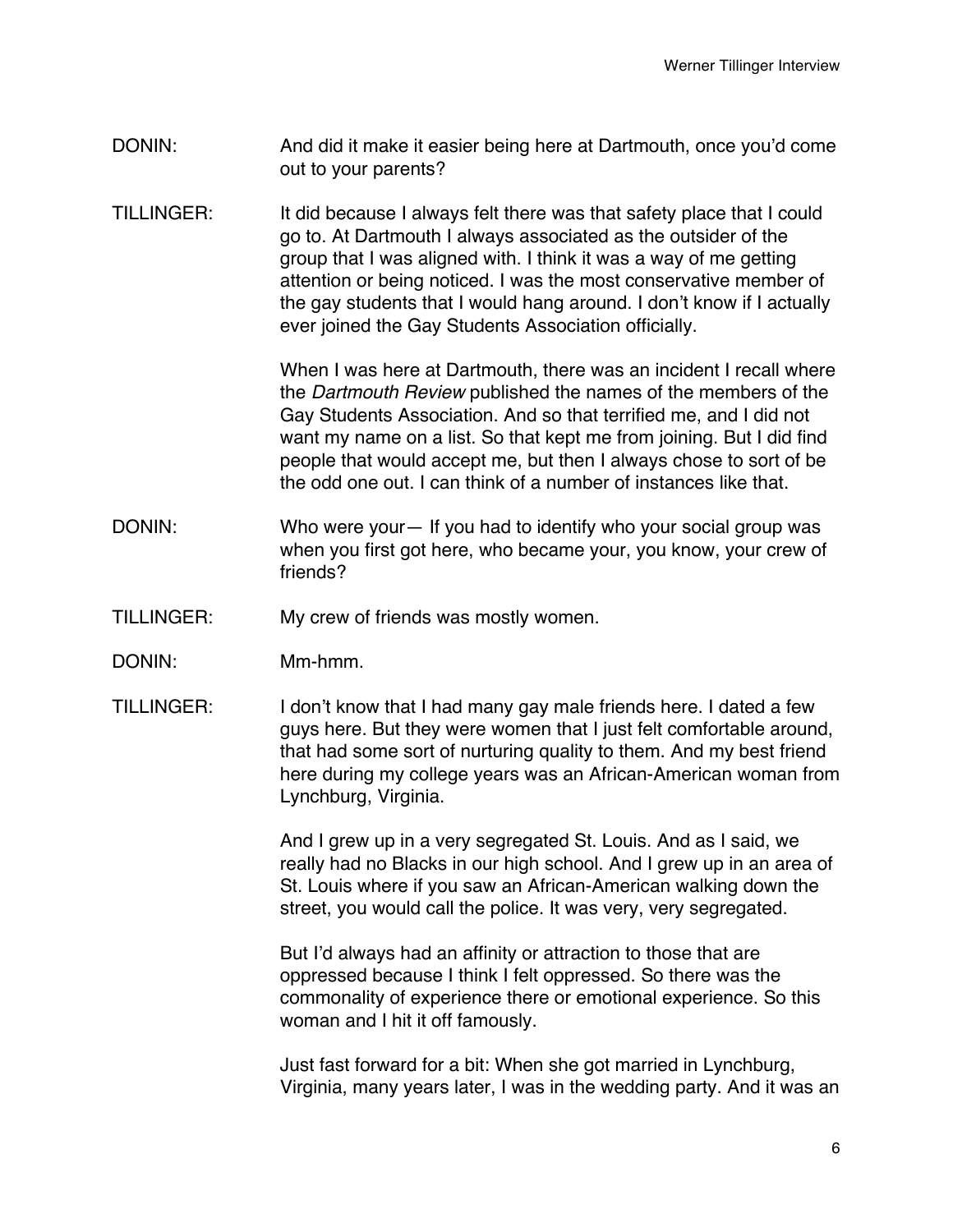- DONIN: And did it make it easier being here at Dartmouth, once you'd come out to your parents?
- TILLINGER: It did because I always felt there was that safety place that I could go to. At Dartmouth I always associated as the outsider of the group that I was aligned with. I think it was a way of me getting attention or being noticed. I was the most conservative member of the gay students that I would hang around. I don't know if I actually ever joined the Gay Students Association officially.

When I was here at Dartmouth, there was an incident I recall where the *Dartmouth Review* published the names of the members of the Gay Students Association. And so that terrified me, and I did not want my name on a list. So that kept me from joining. But I did find people that would accept me, but then I always chose to sort of be the odd one out. I can think of a number of instances like that.

- DONIN: Who were your— If you had to identify who your social group was when you first got here, who became your, you know, your crew of friends?
- TILLINGER: My crew of friends was mostly women.
- DONIN: Mm-hmm.
- TILLINGER: I don't know that I had many gay male friends here. I dated a few guys here. But they were women that I just felt comfortable around, that had some sort of nurturing quality to them. And my best friend here during my college years was an African-American woman from Lynchburg, Virginia.

And I grew up in a very segregated St. Louis. And as I said, we really had no Blacks in our high school. And I grew up in an area of St. Louis where if you saw an African-American walking down the street, you would call the police. It was very, very segregated.

But I'd always had an affinity or attraction to those that are oppressed because I think I felt oppressed. So there was the commonality of experience there or emotional experience. So this woman and I hit it off famously.

Just fast forward for a bit: When she got married in Lynchburg, Virginia, many years later, I was in the wedding party. And it was an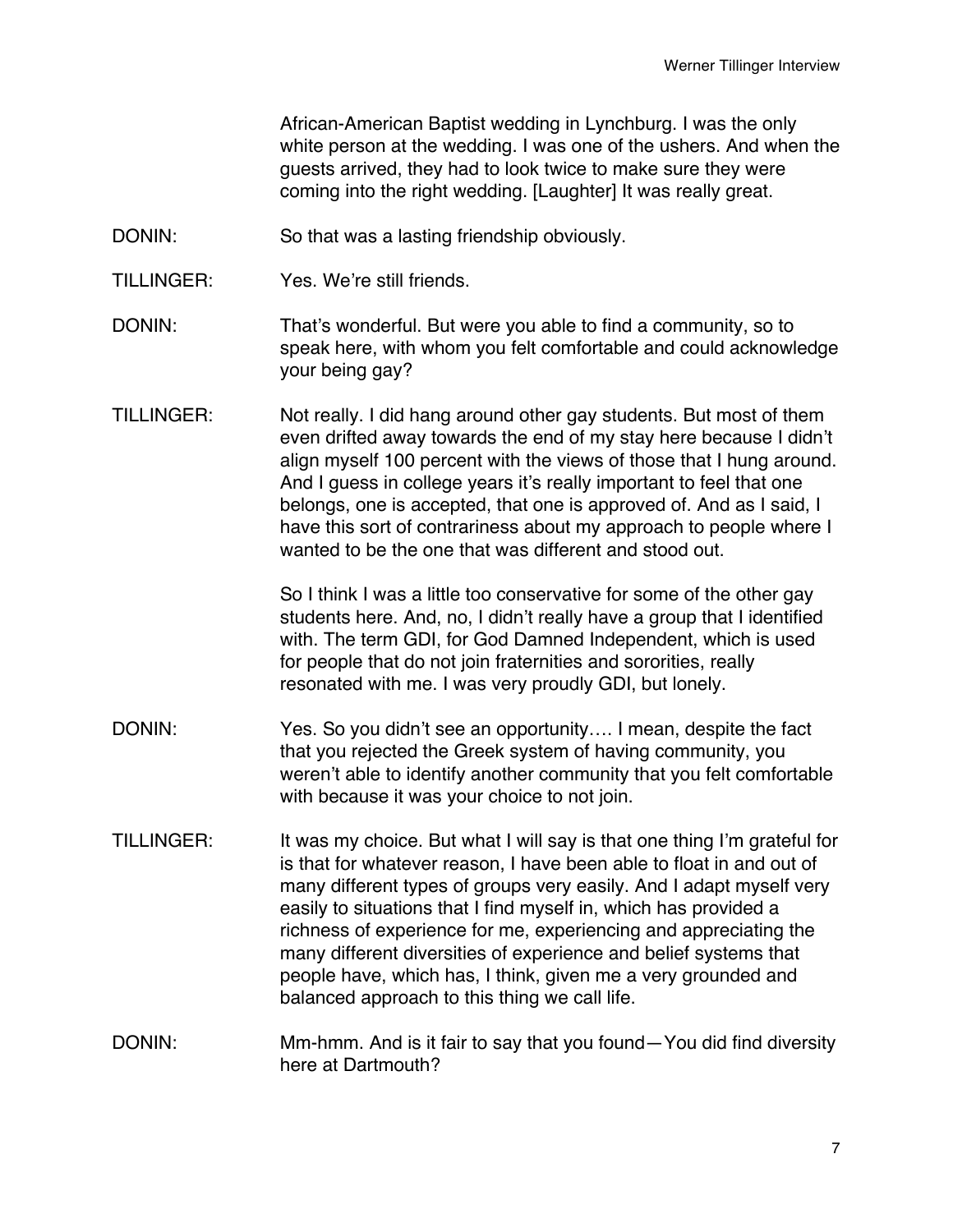African-American Baptist wedding in Lynchburg. I was the only white person at the wedding. I was one of the ushers. And when the guests arrived, they had to look twice to make sure they were coming into the right wedding. [Laughter] It was really great.

- DONIN: So that was a lasting friendship obviously.
- TILLINGER: Yes. We're still friends.
- DONIN: That's wonderful. But were you able to find a community, so to speak here, with whom you felt comfortable and could acknowledge your being gay?
- TILLINGER: Not really. I did hang around other gay students. But most of them even drifted away towards the end of my stay here because I didn't align myself 100 percent with the views of those that I hung around. And I guess in college years it's really important to feel that one belongs, one is accepted, that one is approved of. And as I said, I have this sort of contrariness about my approach to people where I wanted to be the one that was different and stood out.

So I think I was a little too conservative for some of the other gay students here. And, no, I didn't really have a group that I identified with. The term GDI, for God Damned Independent, which is used for people that do not join fraternities and sororities, really resonated with me. I was very proudly GDI, but lonely.

- DONIN: Yes. So you didn't see an opportunity.... I mean, despite the fact that you rejected the Greek system of having community, you weren't able to identify another community that you felt comfortable with because it was your choice to not join.
- TILLINGER: It was my choice. But what I will say is that one thing I'm grateful for is that for whatever reason, I have been able to float in and out of many different types of groups very easily. And I adapt myself very easily to situations that I find myself in, which has provided a richness of experience for me, experiencing and appreciating the many different diversities of experience and belief systems that people have, which has, I think, given me a very grounded and balanced approach to this thing we call life.
- DONIN: Mm-hmm. And is it fair to say that you found—You did find diversity here at Dartmouth?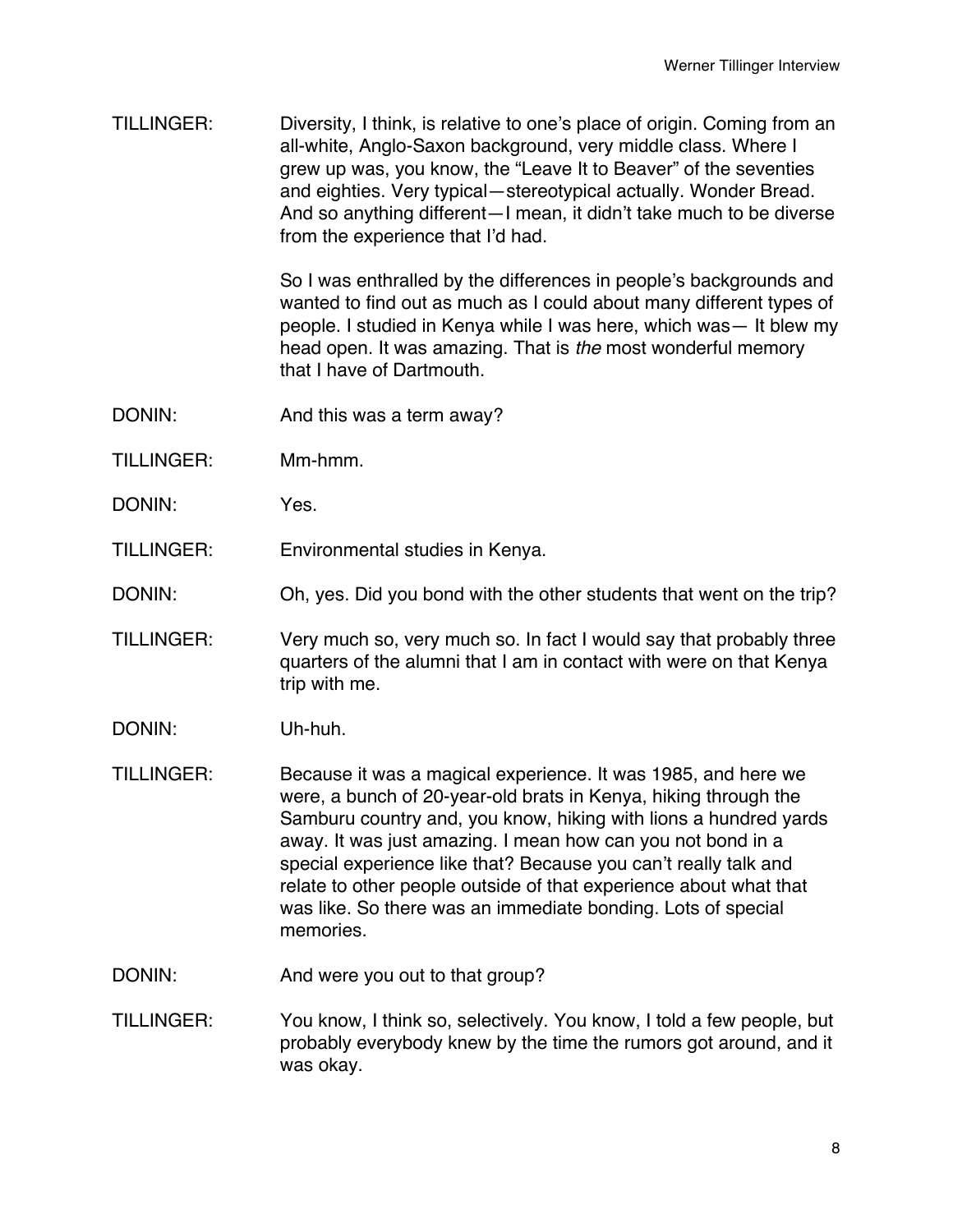TILLINGER: Diversity, I think, is relative to one's place of origin. Coming from an all-white, Anglo-Saxon background, very middle class. Where I grew up was, you know, the "Leave It to Beaver" of the seventies and eighties. Very typical—stereotypical actually. Wonder Bread. And so anything different—I mean, it didn't take much to be diverse from the experience that I'd had.

> So I was enthralled by the differences in people's backgrounds and wanted to find out as much as I could about many different types of people. I studied in Kenya while I was here, which was— It blew my head open. It was amazing. That is *the* most wonderful memory that I have of Dartmouth.

- DONIN: And this was a term away?
- TILLINGER: Mm-hmm.
- DONIN: Yes.
- TILLINGER: Environmental studies in Kenya.
- DONIN: Oh, yes. Did you bond with the other students that went on the trip?
- TILLINGER: Very much so, very much so. In fact I would say that probably three quarters of the alumni that I am in contact with were on that Kenya trip with me.
- DONIN: Uh-huh.
- TILLINGER: Because it was a magical experience. It was 1985, and here we were, a bunch of 20-year-old brats in Kenya, hiking through the Samburu country and, you know, hiking with lions a hundred yards away. It was just amazing. I mean how can you not bond in a special experience like that? Because you can't really talk and relate to other people outside of that experience about what that was like. So there was an immediate bonding. Lots of special memories.
- DONIN: And were you out to that group?
- TILLINGER: You know, I think so, selectively. You know, I told a few people, but probably everybody knew by the time the rumors got around, and it was okay.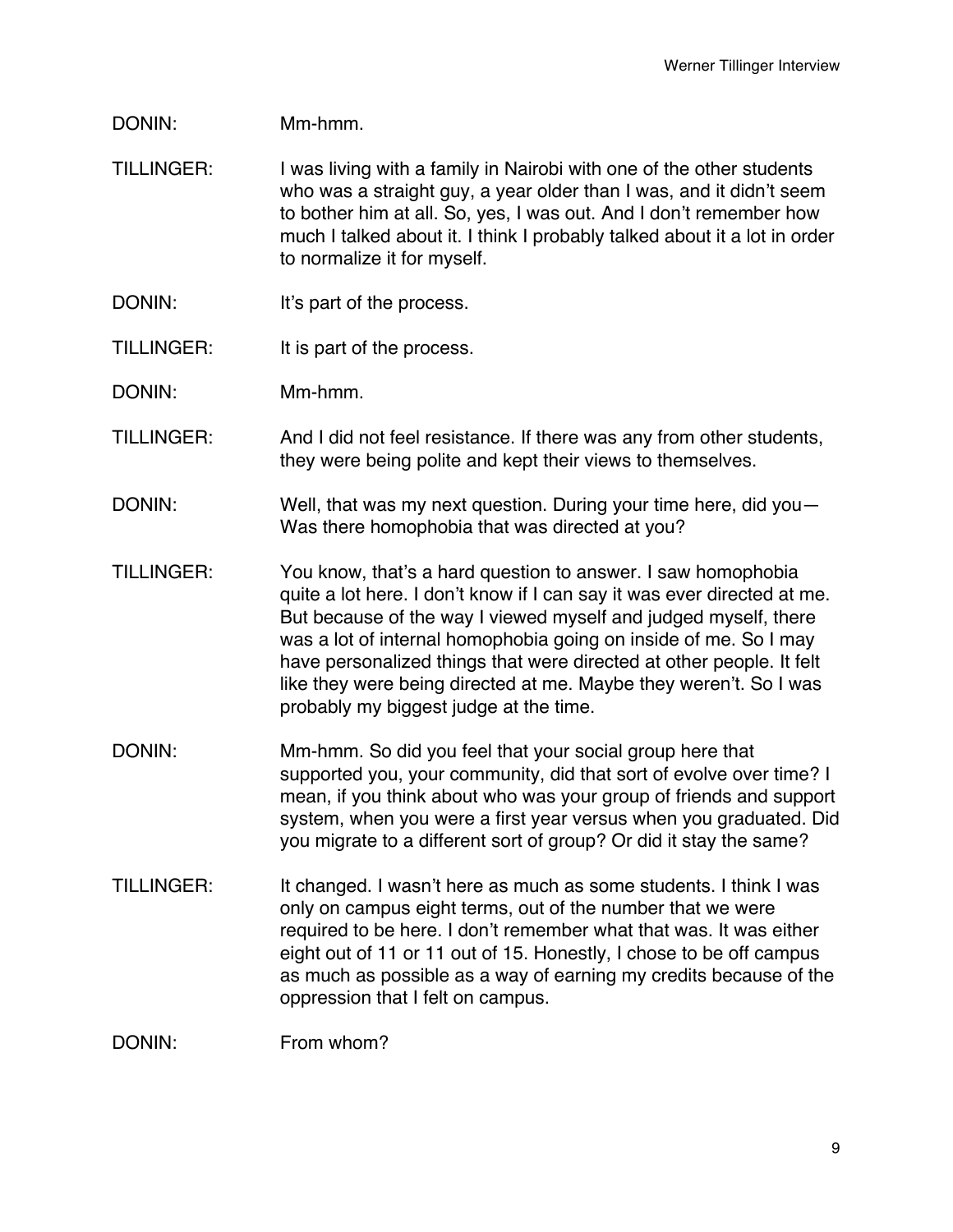## DONIN: Mm-hmm.

- TILLINGER: I was living with a family in Nairobi with one of the other students who was a straight guy, a year older than I was, and it didn't seem to bother him at all. So, yes, I was out. And I don't remember how much I talked about it. I think I probably talked about it a lot in order to normalize it for myself.
- DONIN: It's part of the process.
- TILLINGER: It is part of the process.
- DONIN: Mm-hmm.
- TILLINGER: And I did not feel resistance. If there was any from other students, they were being polite and kept their views to themselves.
- DONIN: Well, that was my next question. During your time here, did you-Was there homophobia that was directed at you?
- TILLINGER: You know, that's a hard question to answer. I saw homophobia quite a lot here. I don't know if I can say it was ever directed at me. But because of the way I viewed myself and judged myself, there was a lot of internal homophobia going on inside of me. So I may have personalized things that were directed at other people. It felt like they were being directed at me. Maybe they weren't. So I was probably my biggest judge at the time.
- DONIN: Mm-hmm. So did you feel that your social group here that supported you, your community, did that sort of evolve over time? I mean, if you think about who was your group of friends and support system, when you were a first year versus when you graduated. Did you migrate to a different sort of group? Or did it stay the same?
- TILLINGER: It changed. I wasn't here as much as some students. I think I was only on campus eight terms, out of the number that we were required to be here. I don't remember what that was. It was either eight out of 11 or 11 out of 15. Honestly, I chose to be off campus as much as possible as a way of earning my credits because of the oppression that I felt on campus.

DONIN: From whom?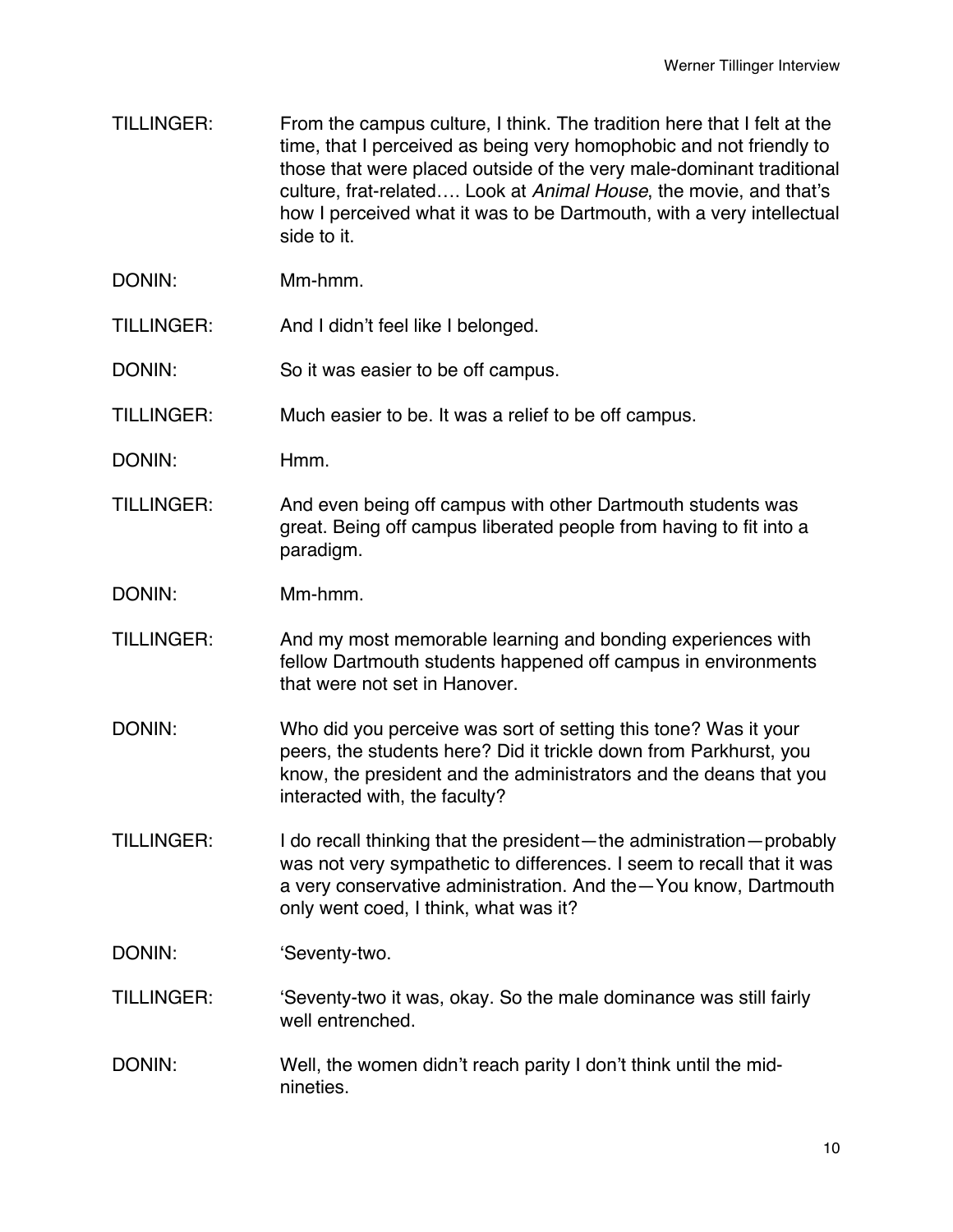- TILLINGER: From the campus culture, I think. The tradition here that I felt at the time, that I perceived as being very homophobic and not friendly to those that were placed outside of the very male-dominant traditional culture, frat-related…. Look at *Animal House*, the movie, and that's how I perceived what it was to be Dartmouth, with a very intellectual side to it.
- DONIN: Mm-hmm.
- TILLINGER: And I didn't feel like I belonged.
- DONIN: So it was easier to be off campus.
- TILLINGER: Much easier to be. It was a relief to be off campus.
- DONIN: Hmm.
- TILLINGER: And even being off campus with other Dartmouth students was great. Being off campus liberated people from having to fit into a paradigm.
- DONIN: Mm-hmm.
- TILLINGER: And my most memorable learning and bonding experiences with fellow Dartmouth students happened off campus in environments that were not set in Hanover.
- DONIN: Who did you perceive was sort of setting this tone? Was it your peers, the students here? Did it trickle down from Parkhurst, you know, the president and the administrators and the deans that you interacted with, the faculty?
- TILLINGER: I do recall thinking that the president—the administration—probably was not very sympathetic to differences. I seem to recall that it was a very conservative administration. And the—You know, Dartmouth only went coed, I think, what was it?
- DONIN: **CONIN: CONING: CONING: CONING: CONING: CONING: CONING: CONING: CONING: CONING: CONING: CONING: CONING: CONING: CONING: CONING: CONING: CONING: CONING: CONIN**
- TILLINGER: ʻSeventy-two it was, okay. So the male dominance was still fairly well entrenched.
- DONIN: Well, the women didn't reach parity I don't think until the midnineties.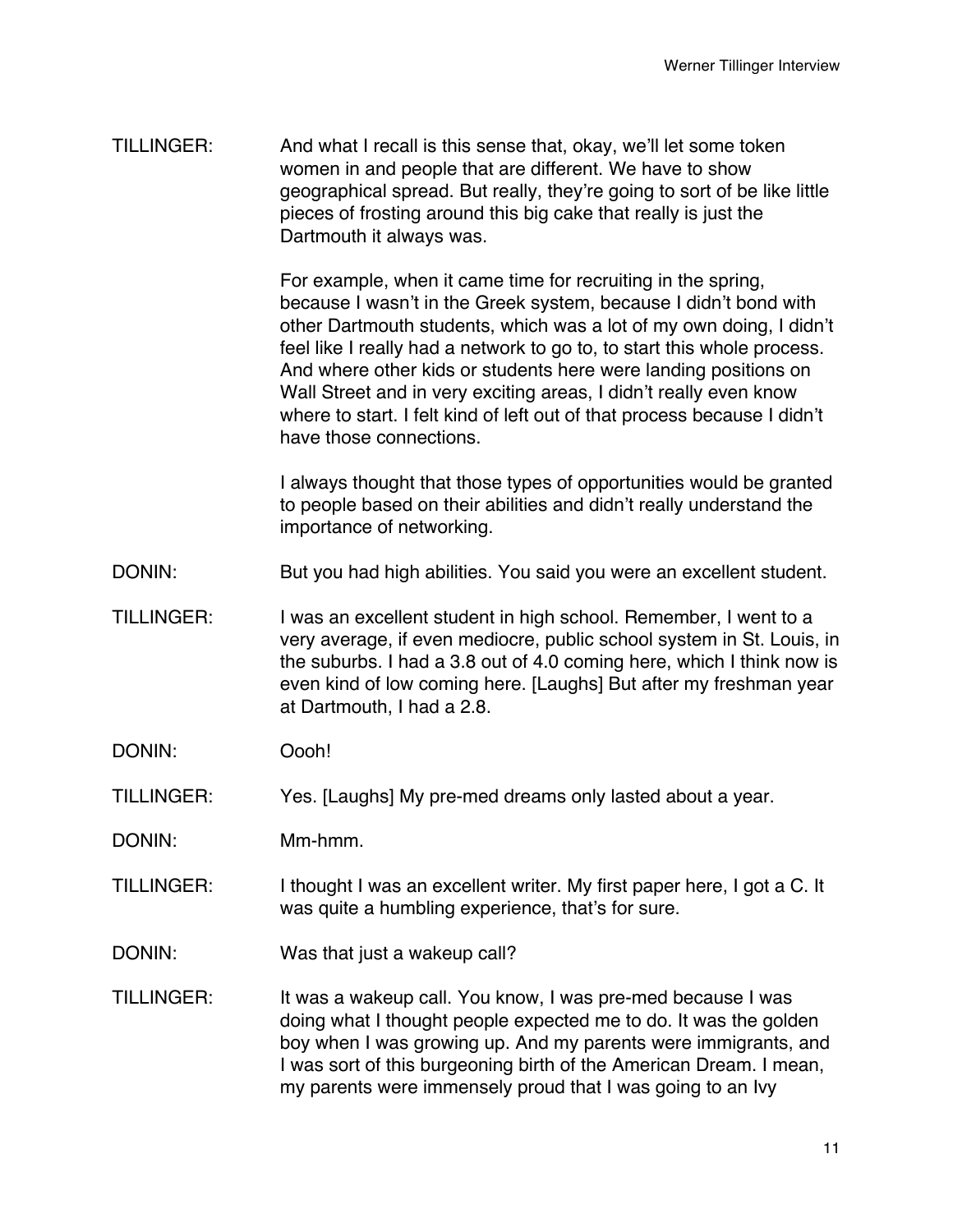TILLINGER: And what I recall is this sense that, okay, we'll let some token women in and people that are different. We have to show geographical spread. But really, they're going to sort of be like little pieces of frosting around this big cake that really is just the Dartmouth it always was.

> For example, when it came time for recruiting in the spring, because I wasn't in the Greek system, because I didn't bond with other Dartmouth students, which was a lot of my own doing, I didn't feel like I really had a network to go to, to start this whole process. And where other kids or students here were landing positions on Wall Street and in very exciting areas, I didn't really even know where to start. I felt kind of left out of that process because I didn't have those connections.

> I always thought that those types of opportunities would be granted to people based on their abilities and didn't really understand the importance of networking.

- DONIN: But you had high abilities. You said you were an excellent student.
- TILLINGER: I was an excellent student in high school. Remember, I went to a very average, if even mediocre, public school system in St. Louis, in the suburbs. I had a 3.8 out of 4.0 coming here, which I think now is even kind of low coming here. [Laughs] But after my freshman year at Dartmouth, I had a 2.8.
- DONIN: Oooh!
- TILLINGER: Yes. [Laughs] My pre-med dreams only lasted about a year.
- DONIN: Mm-hmm.
- TILLINGER: I thought I was an excellent writer. My first paper here, I got a C. It was quite a humbling experience, that's for sure.
- DONIN: Was that just a wakeup call?
- TILLINGER: It was a wakeup call. You know, I was pre-med because I was doing what I thought people expected me to do. It was the golden boy when I was growing up. And my parents were immigrants, and I was sort of this burgeoning birth of the American Dream. I mean, my parents were immensely proud that I was going to an Ivy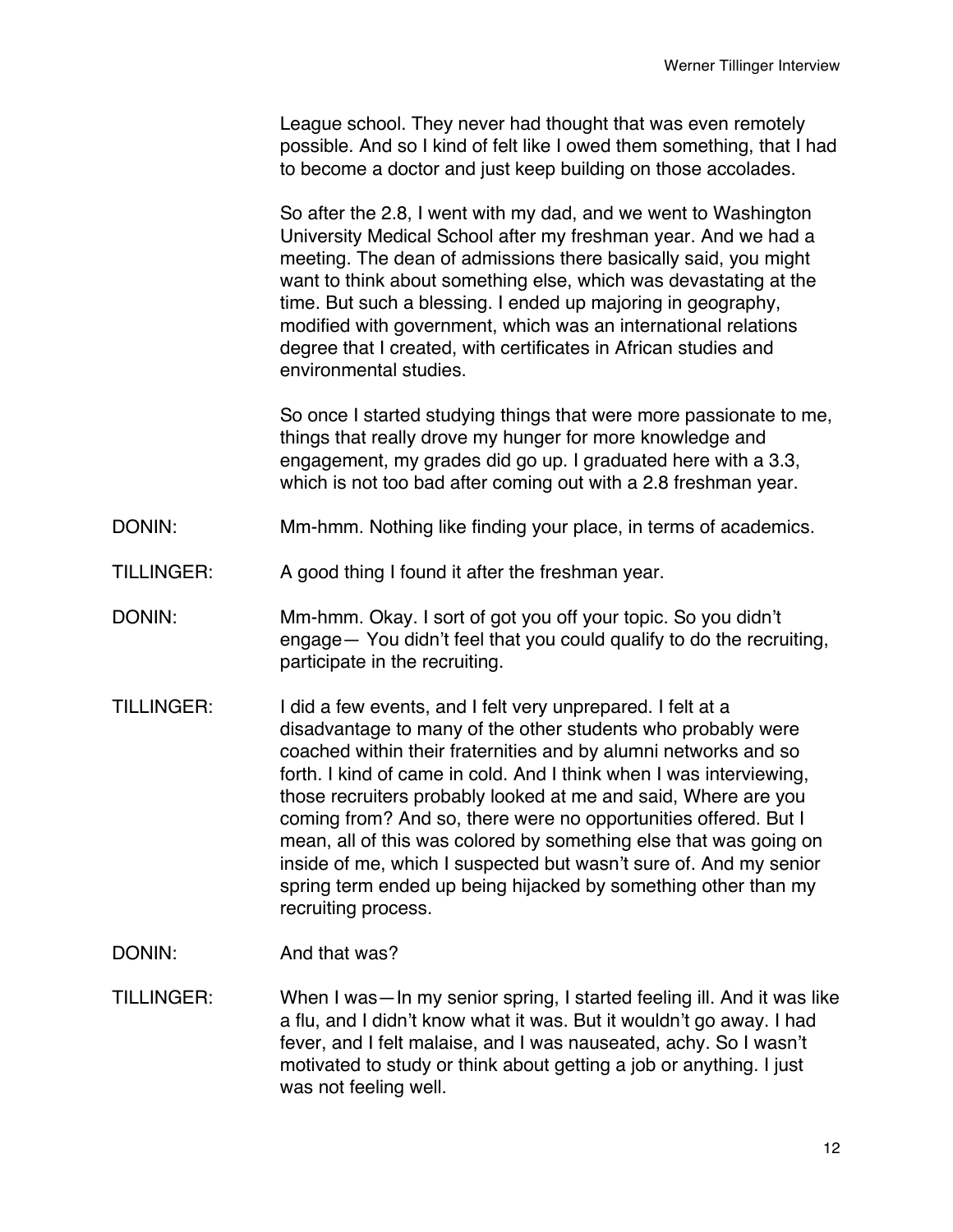League school. They never had thought that was even remotely possible. And so I kind of felt like I owed them something, that I had to become a doctor and just keep building on those accolades.

So after the 2.8, I went with my dad, and we went to Washington University Medical School after my freshman year. And we had a meeting. The dean of admissions there basically said, you might want to think about something else, which was devastating at the time. But such a blessing. I ended up majoring in geography, modified with government, which was an international relations degree that I created, with certificates in African studies and environmental studies.

So once I started studying things that were more passionate to me, things that really drove my hunger for more knowledge and engagement, my grades did go up. I graduated here with a 3.3, which is not too bad after coming out with a 2.8 freshman year.

- DONIN: Mm-hmm. Nothing like finding your place, in terms of academics.
- TILLINGER: A good thing I found it after the freshman year.
- DONIN: Mm-hmm. Okay. I sort of got you off your topic. So you didn't engage— You didn't feel that you could qualify to do the recruiting, participate in the recruiting.
- TILLINGER: I did a few events, and I felt very unprepared. I felt at a disadvantage to many of the other students who probably were coached within their fraternities and by alumni networks and so forth. I kind of came in cold. And I think when I was interviewing, those recruiters probably looked at me and said, Where are you coming from? And so, there were no opportunities offered. But I mean, all of this was colored by something else that was going on inside of me, which I suspected but wasn't sure of. And my senior spring term ended up being hijacked by something other than my recruiting process.
- DONIN: And that was?
- TILLINGER: When I was—In my senior spring, I started feeling ill. And it was like a flu, and I didn't know what it was. But it wouldn't go away. I had fever, and I felt malaise, and I was nauseated, achy. So I wasn't motivated to study or think about getting a job or anything. I just was not feeling well.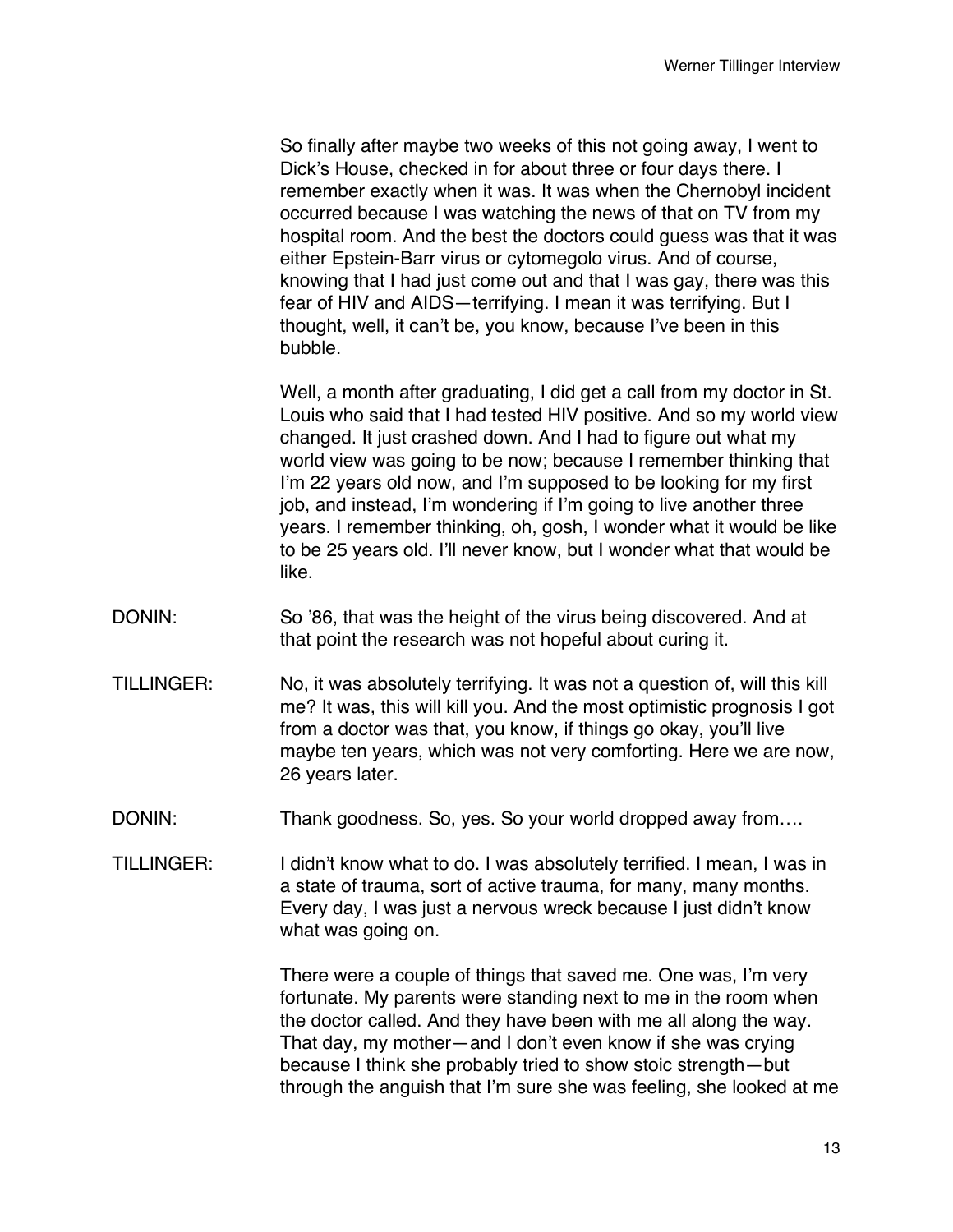So finally after maybe two weeks of this not going away, I went to Dick's House, checked in for about three or four days there. I remember exactly when it was. It was when the Chernobyl incident occurred because I was watching the news of that on TV from my hospital room. And the best the doctors could guess was that it was either Epstein-Barr virus or cytomegolo virus. And of course, knowing that I had just come out and that I was gay, there was this fear of HIV and AIDS—terrifying. I mean it was terrifying. But I thought, well, it can't be, you know, because I've been in this bubble.

Well, a month after graduating, I did get a call from my doctor in St. Louis who said that I had tested HIV positive. And so my world view changed. It just crashed down. And I had to figure out what my world view was going to be now; because I remember thinking that I'm 22 years old now, and I'm supposed to be looking for my first job, and instead, I'm wondering if I'm going to live another three years. I remember thinking, oh, gosh, I wonder what it would be like to be 25 years old. I'll never know, but I wonder what that would be like.

- DONIN: So '86, that was the height of the virus being discovered. And at that point the research was not hopeful about curing it.
- TILLINGER: No, it was absolutely terrifying. It was not a question of, will this kill me? It was, this will kill you. And the most optimistic prognosis I got from a doctor was that, you know, if things go okay, you'll live maybe ten years, which was not very comforting. Here we are now, 26 years later.
- DONIN: Thank goodness. So, yes. So your world dropped away from....
- TILLINGER: I didn't know what to do. I was absolutely terrified. I mean, I was in a state of trauma, sort of active trauma, for many, many months. Every day, I was just a nervous wreck because I just didn't know what was going on.

There were a couple of things that saved me. One was, I'm very fortunate. My parents were standing next to me in the room when the doctor called. And they have been with me all along the way. That day, my mother—and I don't even know if she was crying because I think she probably tried to show stoic strength—but through the anguish that I'm sure she was feeling, she looked at me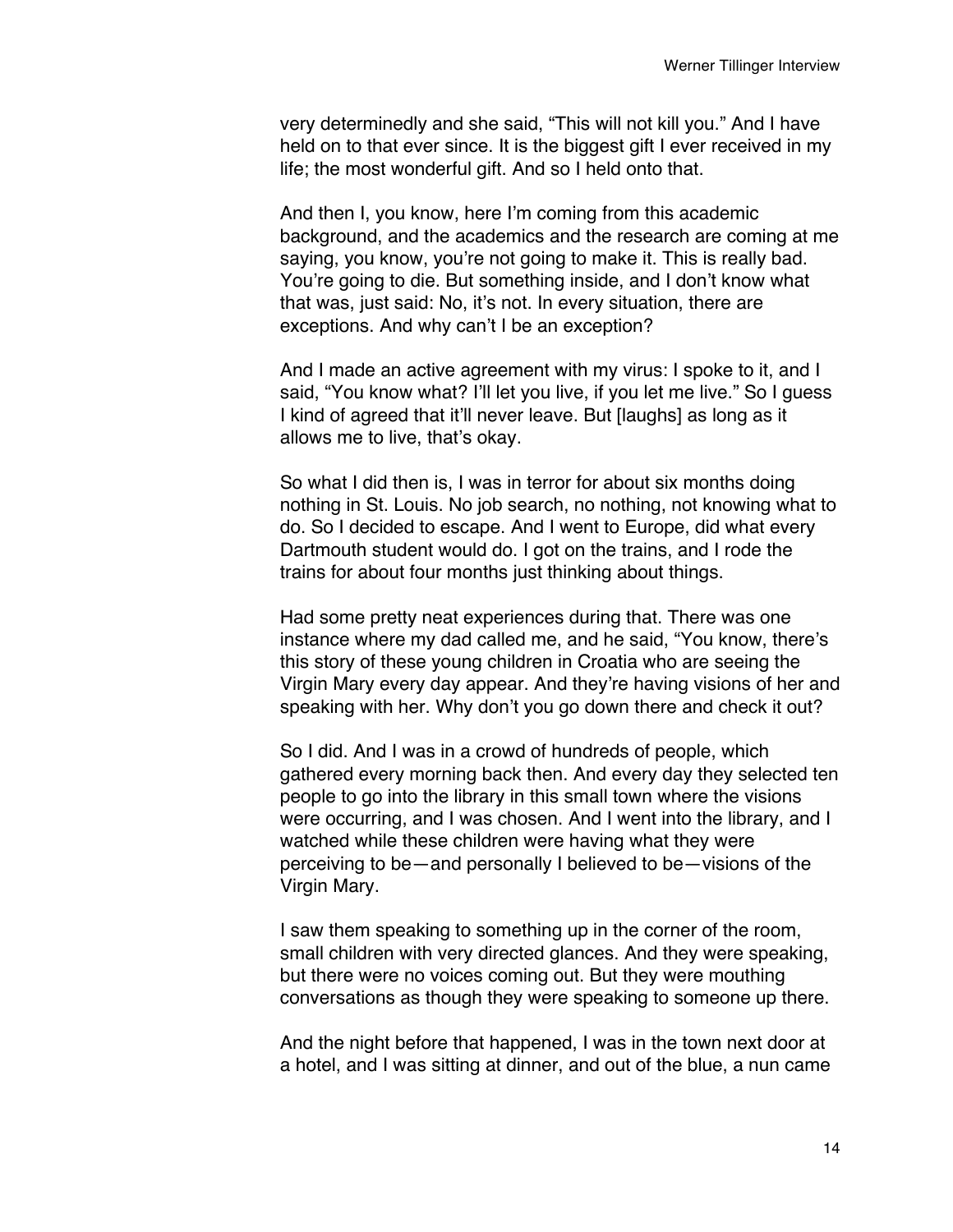very determinedly and she said, "This will not kill you." And I have held on to that ever since. It is the biggest gift I ever received in my life; the most wonderful gift. And so I held onto that.

And then I, you know, here I'm coming from this academic background, and the academics and the research are coming at me saying, you know, you're not going to make it. This is really bad. You're going to die. But something inside, and I don't know what that was, just said: No, it's not. In every situation, there are exceptions. And why can't I be an exception?

And I made an active agreement with my virus: I spoke to it, and I said, "You know what? I'll let you live, if you let me live." So I quess I kind of agreed that it'll never leave. But [laughs] as long as it allows me to live, that's okay.

So what I did then is, I was in terror for about six months doing nothing in St. Louis. No job search, no nothing, not knowing what to do. So I decided to escape. And I went to Europe, did what every Dartmouth student would do. I got on the trains, and I rode the trains for about four months just thinking about things.

Had some pretty neat experiences during that. There was one instance where my dad called me, and he said, "You know, there's this story of these young children in Croatia who are seeing the Virgin Mary every day appear. And they're having visions of her and speaking with her. Why don't you go down there and check it out?

So I did. And I was in a crowd of hundreds of people, which gathered every morning back then. And every day they selected ten people to go into the library in this small town where the visions were occurring, and I was chosen. And I went into the library, and I watched while these children were having what they were perceiving to be—and personally I believed to be—visions of the Virgin Mary.

I saw them speaking to something up in the corner of the room, small children with very directed glances. And they were speaking, but there were no voices coming out. But they were mouthing conversations as though they were speaking to someone up there.

And the night before that happened, I was in the town next door at a hotel, and I was sitting at dinner, and out of the blue, a nun came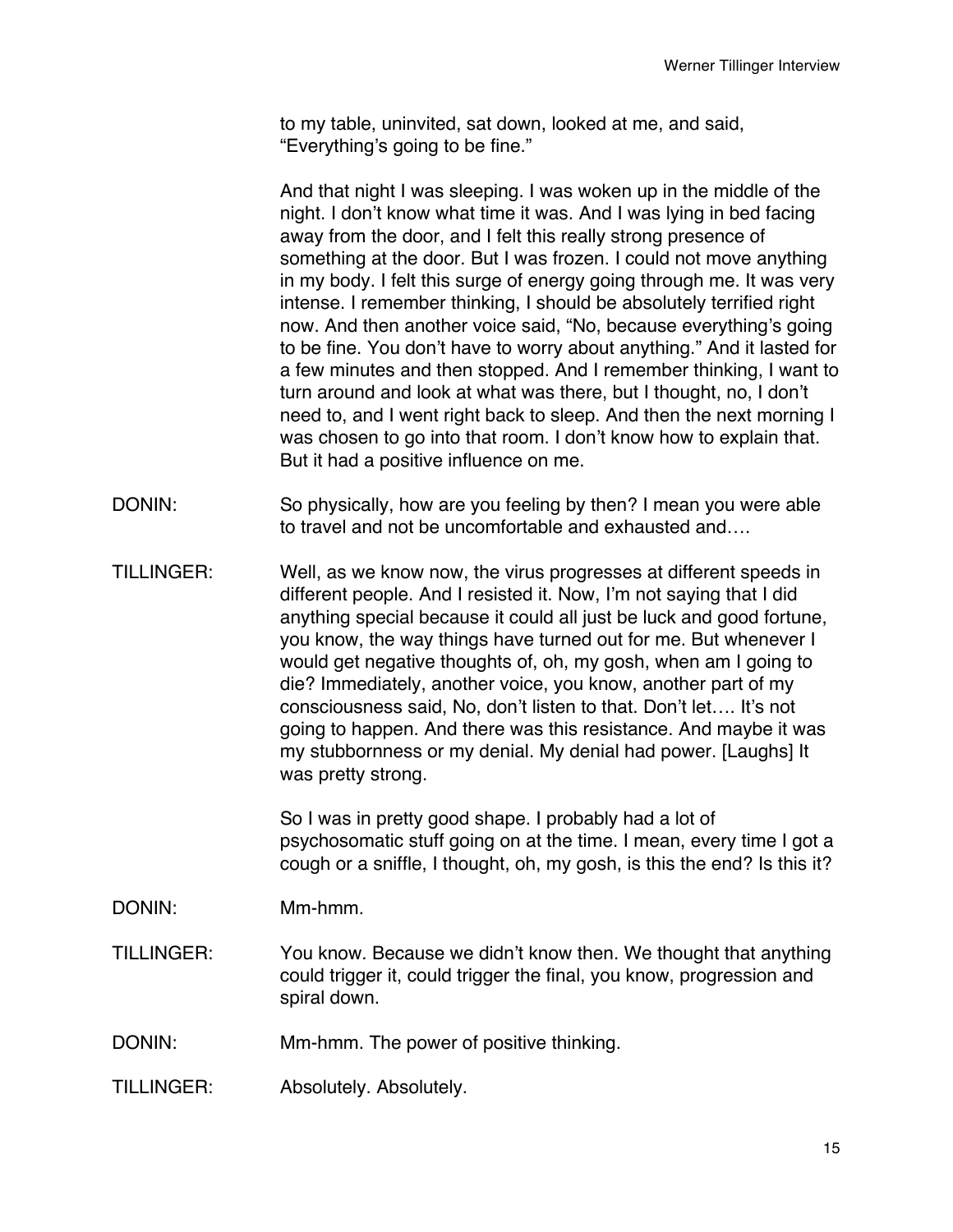to my table, uninvited, sat down, looked at me, and said, "Everything's going to be fine."

And that night I was sleeping. I was woken up in the middle of the night. I don't know what time it was. And I was lying in bed facing away from the door, and I felt this really strong presence of something at the door. But I was frozen. I could not move anything in my body. I felt this surge of energy going through me. It was very intense. I remember thinking, I should be absolutely terrified right now. And then another voice said, "No, because everything's going to be fine. You don't have to worry about anything." And it lasted for a few minutes and then stopped. And I remember thinking, I want to turn around and look at what was there, but I thought, no, I don't need to, and I went right back to sleep. And then the next morning I was chosen to go into that room. I don't know how to explain that. But it had a positive influence on me.

- DONIN: So physically, how are you feeling by then? I mean you were able to travel and not be uncomfortable and exhausted and….
- TILLINGER: Well, as we know now, the virus progresses at different speeds in different people. And I resisted it. Now, I'm not saying that I did anything special because it could all just be luck and good fortune, you know, the way things have turned out for me. But whenever I would get negative thoughts of, oh, my gosh, when am I going to die? Immediately, another voice, you know, another part of my consciousness said, No, don't listen to that. Don't let…. It's not going to happen. And there was this resistance. And maybe it was my stubbornness or my denial. My denial had power. [Laughs] It was pretty strong.

So I was in pretty good shape. I probably had a lot of psychosomatic stuff going on at the time. I mean, every time I got a cough or a sniffle, I thought, oh, my gosh, is this the end? Is this it?

DONIN: Mm-hmm.

- TILLINGER: You know. Because we didn't know then. We thought that anything could trigger it, could trigger the final, you know, progression and spiral down.
- DONIN: Mm-hmm. The power of positive thinking.
- TILLINGER: Absolutely. Absolutely.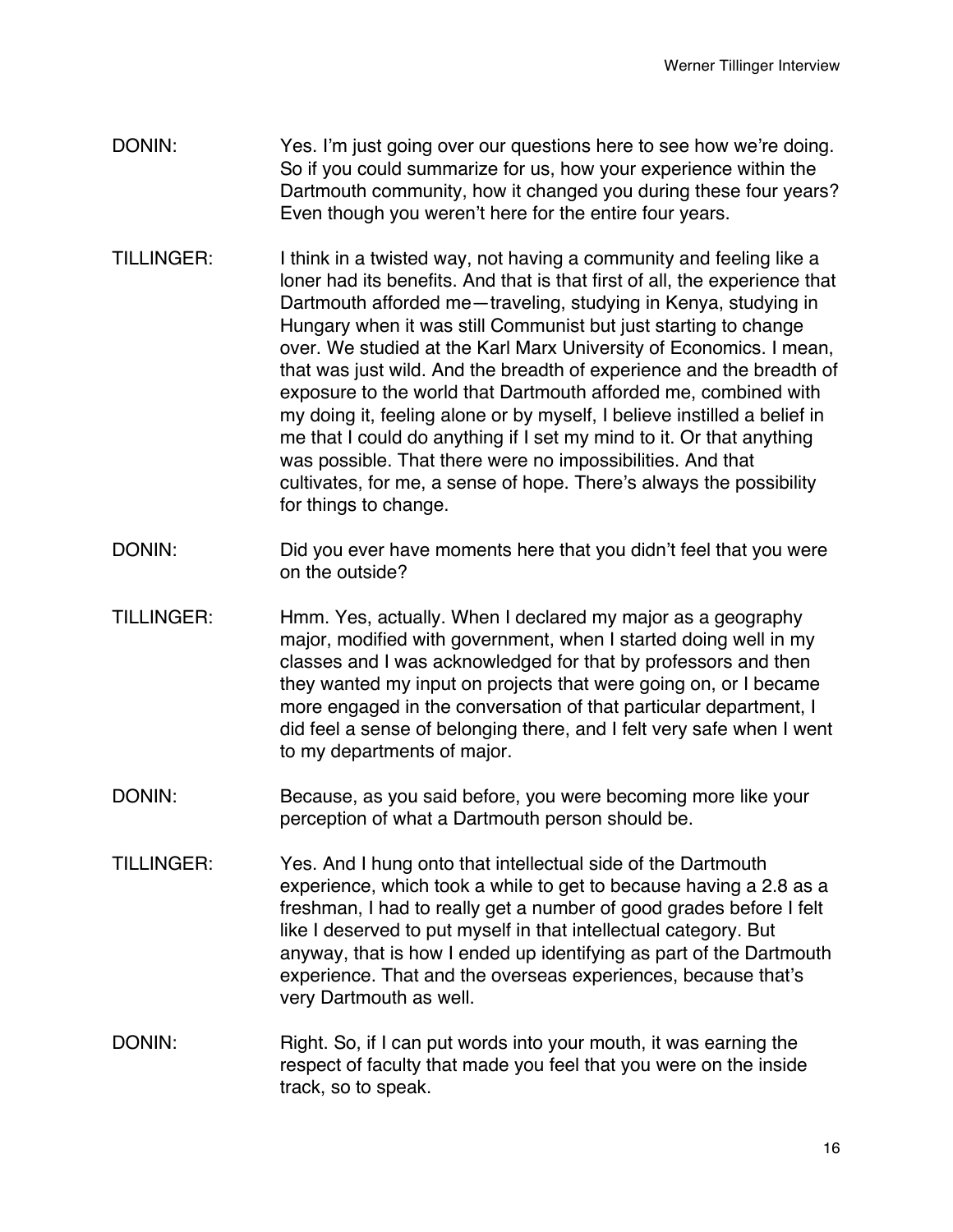- DONIN: Yes. I'm just going over our questions here to see how we're doing. So if you could summarize for us, how your experience within the Dartmouth community, how it changed you during these four years? Even though you weren't here for the entire four years.
- TILLINGER: I think in a twisted way, not having a community and feeling like a loner had its benefits. And that is that first of all, the experience that Dartmouth afforded me—traveling, studying in Kenya, studying in Hungary when it was still Communist but just starting to change over. We studied at the Karl Marx University of Economics. I mean, that was just wild. And the breadth of experience and the breadth of exposure to the world that Dartmouth afforded me, combined with my doing it, feeling alone or by myself, I believe instilled a belief in me that I could do anything if I set my mind to it. Or that anything was possible. That there were no impossibilities. And that cultivates, for me, a sense of hope. There's always the possibility for things to change.
- DONIN: DONIN: Did you ever have moments here that you didn't feel that you were on the outside?
- TILLINGER: Hmm. Yes, actually. When I declared my major as a geography major, modified with government, when I started doing well in my classes and I was acknowledged for that by professors and then they wanted my input on projects that were going on, or I became more engaged in the conversation of that particular department, I did feel a sense of belonging there, and I felt very safe when I went to my departments of major.
- DONIN: Because, as you said before, you were becoming more like your perception of what a Dartmouth person should be.
- TILLINGER: Yes. And I hung onto that intellectual side of the Dartmouth experience, which took a while to get to because having a 2.8 as a freshman, I had to really get a number of good grades before I felt like I deserved to put myself in that intellectual category. But anyway, that is how I ended up identifying as part of the Dartmouth experience. That and the overseas experiences, because that's very Dartmouth as well.
- DONIN: Right. So, if I can put words into your mouth, it was earning the respect of faculty that made you feel that you were on the inside track, so to speak.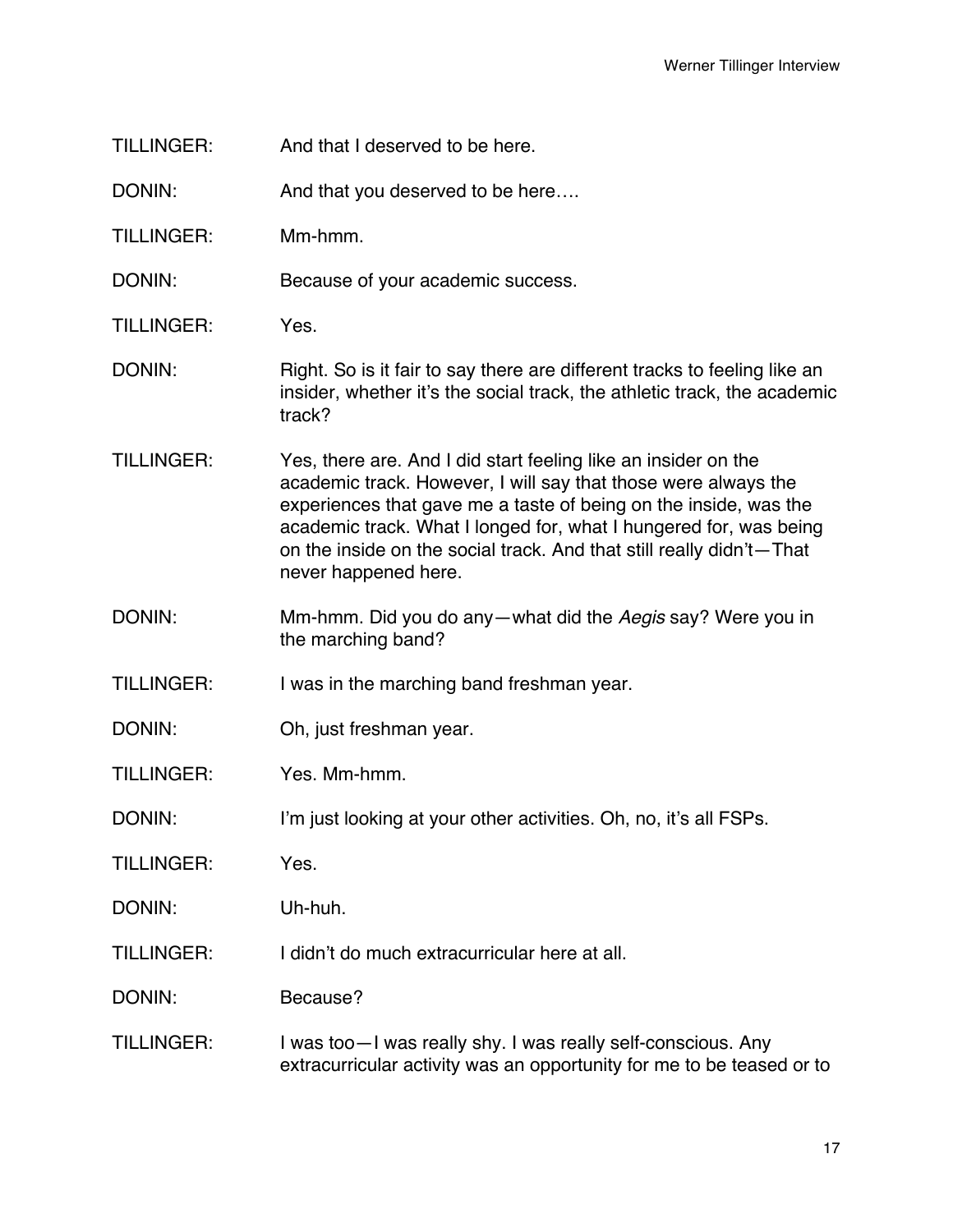TILLINGER: And that I deserved to be here.

DONIN: And that you deserved to be here....

TILLINGER: Mm-hmm.

DONIN: Because of your academic success.

TILLINGER: Yes.

- DONIN: Right. So is it fair to say there are different tracks to feeling like an insider, whether it's the social track, the athletic track, the academic track?
- TILLINGER: Yes, there are. And I did start feeling like an insider on the academic track. However, I will say that those were always the experiences that gave me a taste of being on the inside, was the academic track. What I longed for, what I hungered for, was being on the inside on the social track. And that still really didn't—That never happened here.
- DONIN: Mm-hmm. Did you do any—what did the *Aegis* say? Were you in the marching band?

TILLINGER: I was in the marching band freshman year.

- DONIN: Oh, just freshman year.
- TILLINGER: Yes. Mm-hmm.
- DONIN: I'm just looking at your other activities. Oh, no, it's all FSPs.

TILLINGER: Yes.

DONIN: Uh-huh.

TILLINGER: I didn't do much extracurricular here at all.

DONIN: Because?

TILLINGER: I was too—I was really shy. I was really self-conscious. Any extracurricular activity was an opportunity for me to be teased or to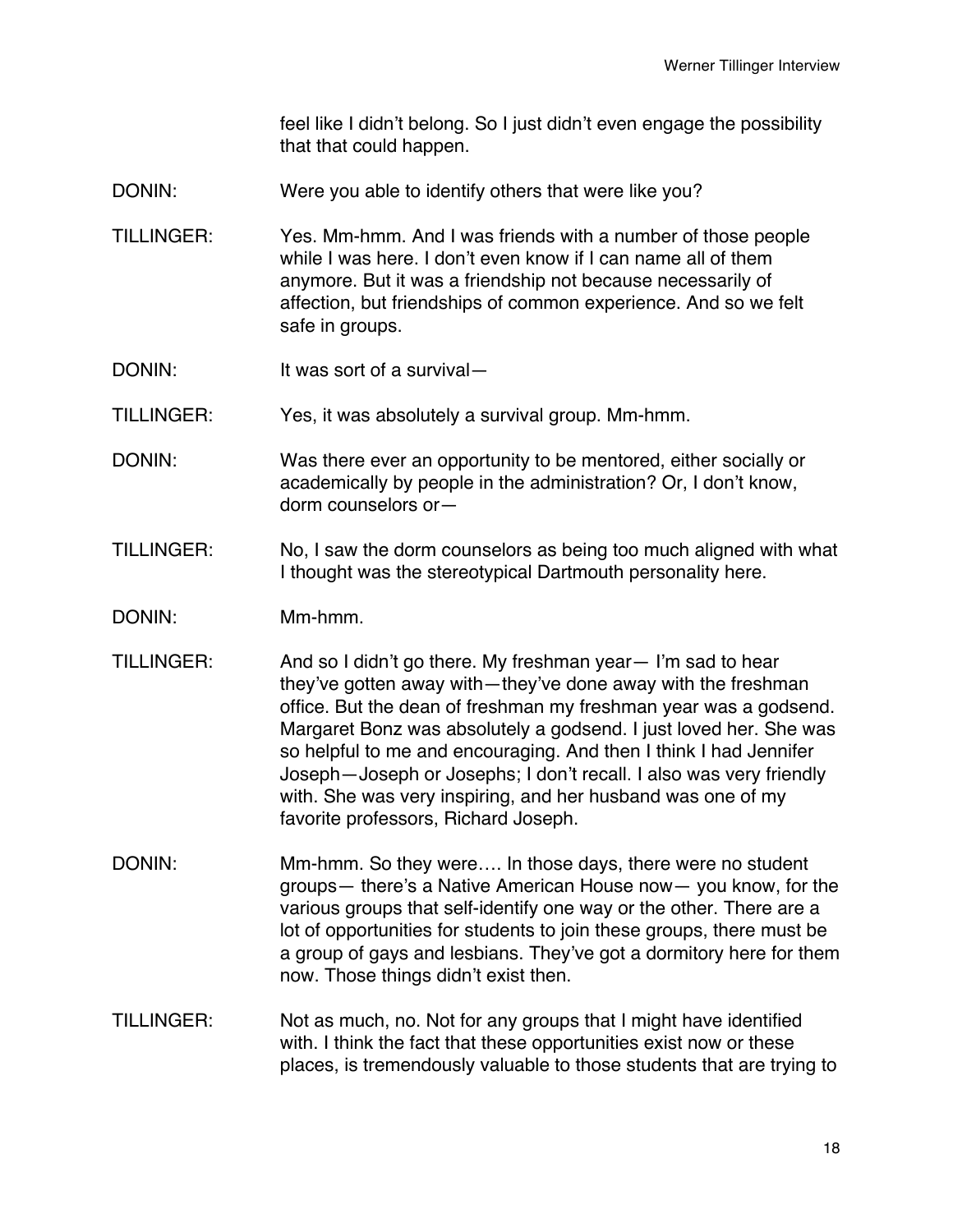feel like I didn't belong. So I just didn't even engage the possibility that that could happen.

- DONIN: Were you able to identify others that were like you?
- TILLINGER: Yes. Mm-hmm. And I was friends with a number of those people while I was here. I don't even know if I can name all of them anymore. But it was a friendship not because necessarily of affection, but friendships of common experience. And so we felt safe in groups.
- DONIN: It was sort of a survival—
- TILLINGER: Yes, it was absolutely a survival group. Mm-hmm.
- DONIN: Was there ever an opportunity to be mentored, either socially or academically by people in the administration? Or, I don't know, dorm counselors or—
- TILLINGER: No, I saw the dorm counselors as being too much aligned with what I thought was the stereotypical Dartmouth personality here.
- DONIN: Mm-hmm.
- TILLINGER: And so I didn't go there. My freshman year— I'm sad to hear they've gotten away with—they've done away with the freshman office. But the dean of freshman my freshman year was a godsend. Margaret Bonz was absolutely a godsend. I just loved her. She was so helpful to me and encouraging. And then I think I had Jennifer Joseph—Joseph or Josephs; I don't recall. I also was very friendly with. She was very inspiring, and her husband was one of my favorite professors, Richard Joseph.
- DONIN: Mm-hmm. So they were.... In those days, there were no student groups— there's a Native American House now— you know, for the various groups that self-identify one way or the other. There are a lot of opportunities for students to join these groups, there must be a group of gays and lesbians. They've got a dormitory here for them now. Those things didn't exist then.
- TILLINGER: Not as much, no. Not for any groups that I might have identified with. I think the fact that these opportunities exist now or these places, is tremendously valuable to those students that are trying to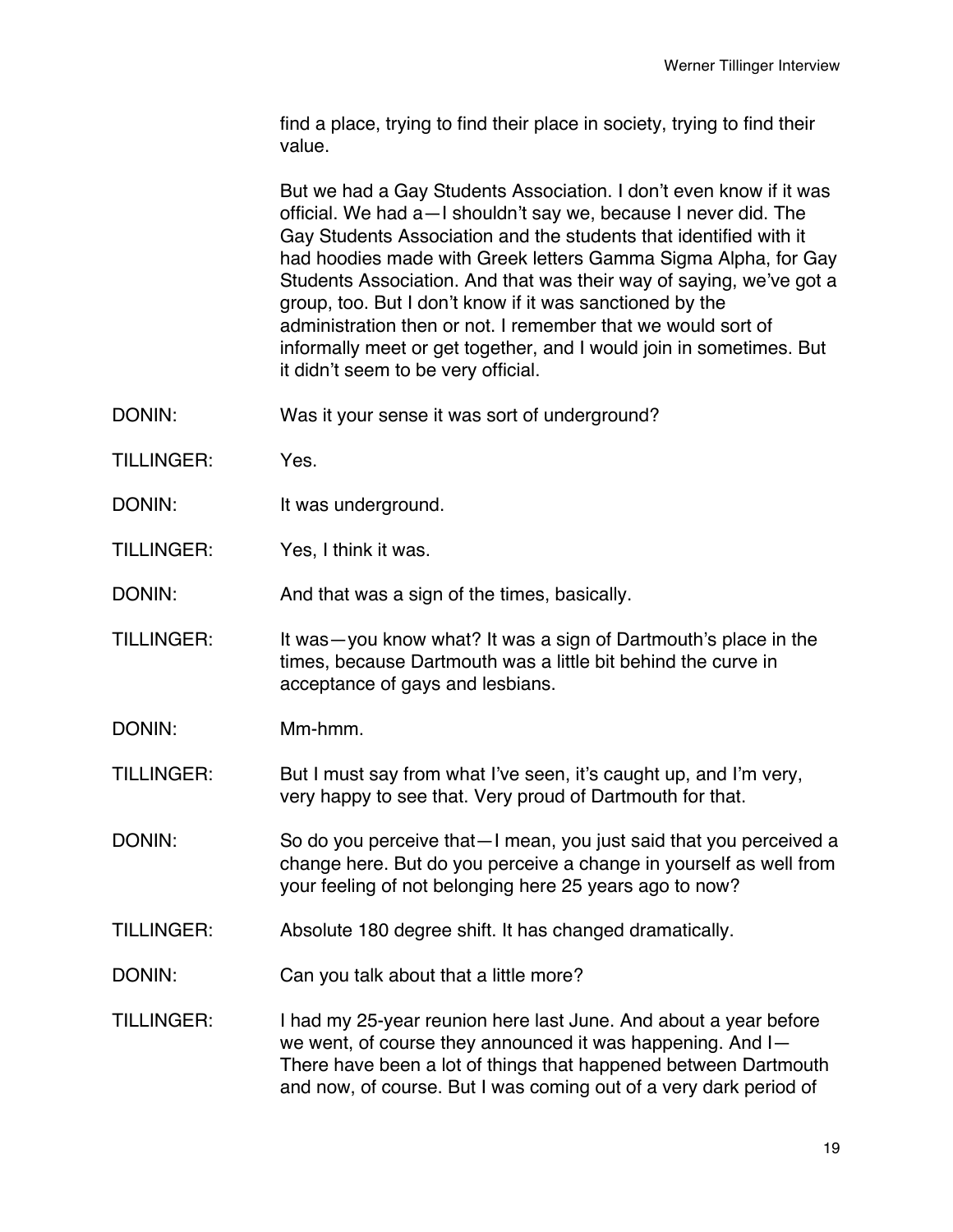find a place, trying to find their place in society, trying to find their value.

But we had a Gay Students Association. I don't even know if it was official. We had a—I shouldn't say we, because I never did. The Gay Students Association and the students that identified with it had hoodies made with Greek letters Gamma Sigma Alpha, for Gay Students Association. And that was their way of saying, we've got a group, too. But I don't know if it was sanctioned by the administration then or not. I remember that we would sort of informally meet or get together, and I would join in sometimes. But it didn't seem to be very official.

- DONIN: Was it your sense it was sort of underground?
- TILLINGER: Yes.
- DONIN: It was underground.
- TILLINGER: Yes, I think it was.

DONIN: And that was a sign of the times, basically.

- TILLINGER: It was—you know what? It was a sign of Dartmouth's place in the times, because Dartmouth was a little bit behind the curve in acceptance of gays and lesbians.
- DONIN: Mm-hmm.

TILLINGER: But I must say from what I've seen, it's caught up, and I'm very, very happy to see that. Very proud of Dartmouth for that.

- DONIN: So do you perceive that—I mean, you just said that you perceived a change here. But do you perceive a change in yourself as well from your feeling of not belonging here 25 years ago to now?
- TILLINGER: Absolute 180 degree shift. It has changed dramatically.
- DONIN: Can you talk about that a little more?
- TILLINGER: I had my 25-year reunion here last June. And about a year before we went, of course they announced it was happening. And I— There have been a lot of things that happened between Dartmouth and now, of course. But I was coming out of a very dark period of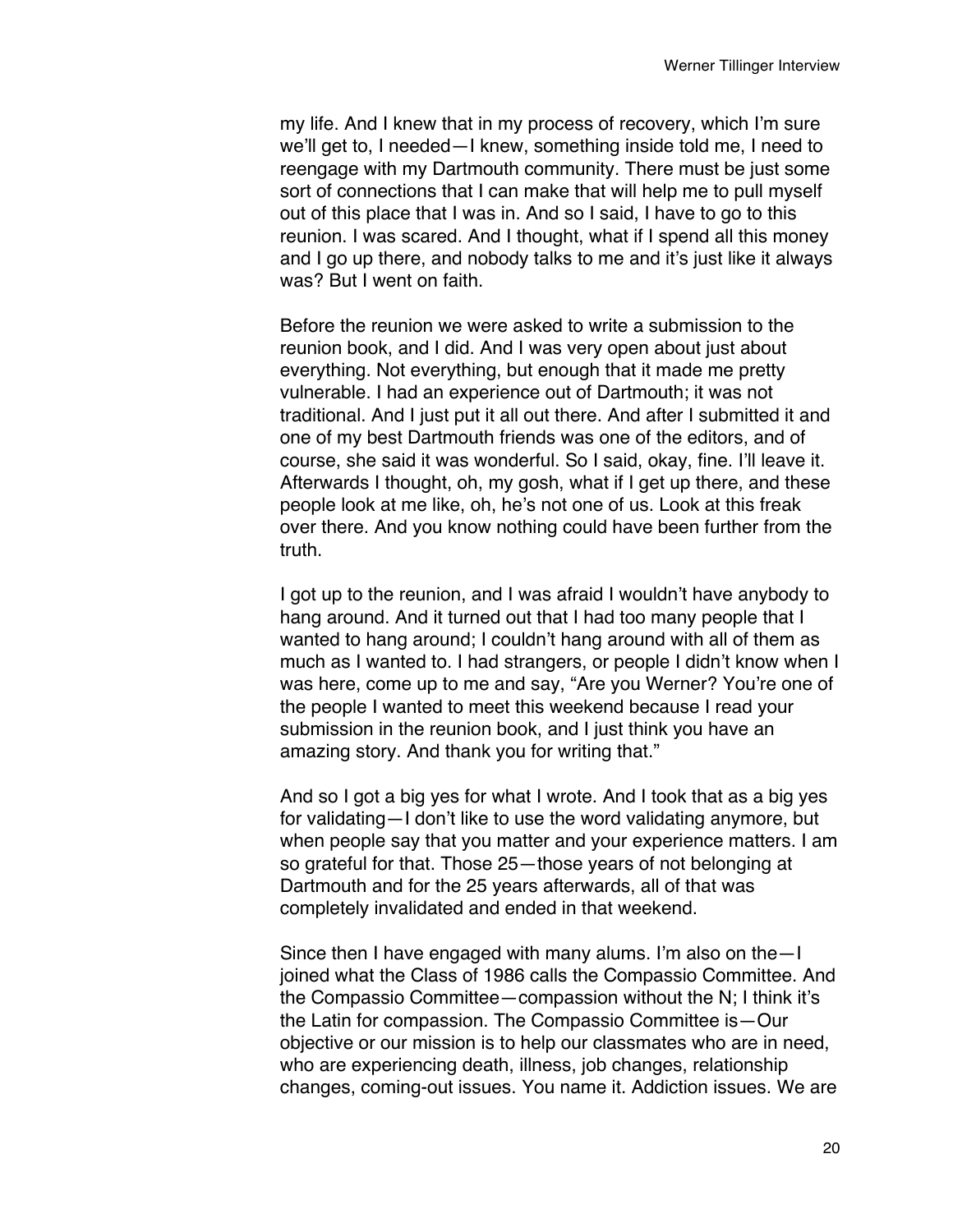my life. And I knew that in my process of recovery, which I'm sure we'll get to, I needed—I knew, something inside told me, I need to reengage with my Dartmouth community. There must be just some sort of connections that I can make that will help me to pull myself out of this place that I was in. And so I said, I have to go to this reunion. I was scared. And I thought, what if I spend all this money and I go up there, and nobody talks to me and it's just like it always was? But I went on faith.

Before the reunion we were asked to write a submission to the reunion book, and I did. And I was very open about just about everything. Not everything, but enough that it made me pretty vulnerable. I had an experience out of Dartmouth; it was not traditional. And I just put it all out there. And after I submitted it and one of my best Dartmouth friends was one of the editors, and of course, she said it was wonderful. So I said, okay, fine. I'll leave it. Afterwards I thought, oh, my gosh, what if I get up there, and these people look at me like, oh, he's not one of us. Look at this freak over there. And you know nothing could have been further from the truth.

I got up to the reunion, and I was afraid I wouldn't have anybody to hang around. And it turned out that I had too many people that I wanted to hang around; I couldn't hang around with all of them as much as I wanted to. I had strangers, or people I didn't know when I was here, come up to me and say, "Are you Werner? You're one of the people I wanted to meet this weekend because I read your submission in the reunion book, and I just think you have an amazing story. And thank you for writing that."

And so I got a big yes for what I wrote. And I took that as a big yes for validating—I don't like to use the word validating anymore, but when people say that you matter and your experience matters. I am so grateful for that. Those 25—those years of not belonging at Dartmouth and for the 25 years afterwards, all of that was completely invalidated and ended in that weekend.

Since then I have engaged with many alums. I'm also on the—I joined what the Class of 1986 calls the Compassio Committee. And the Compassio Committee—compassion without the N; I think it's the Latin for compassion. The Compassio Committee is—Our objective or our mission is to help our classmates who are in need, who are experiencing death, illness, job changes, relationship changes, coming-out issues. You name it. Addiction issues. We are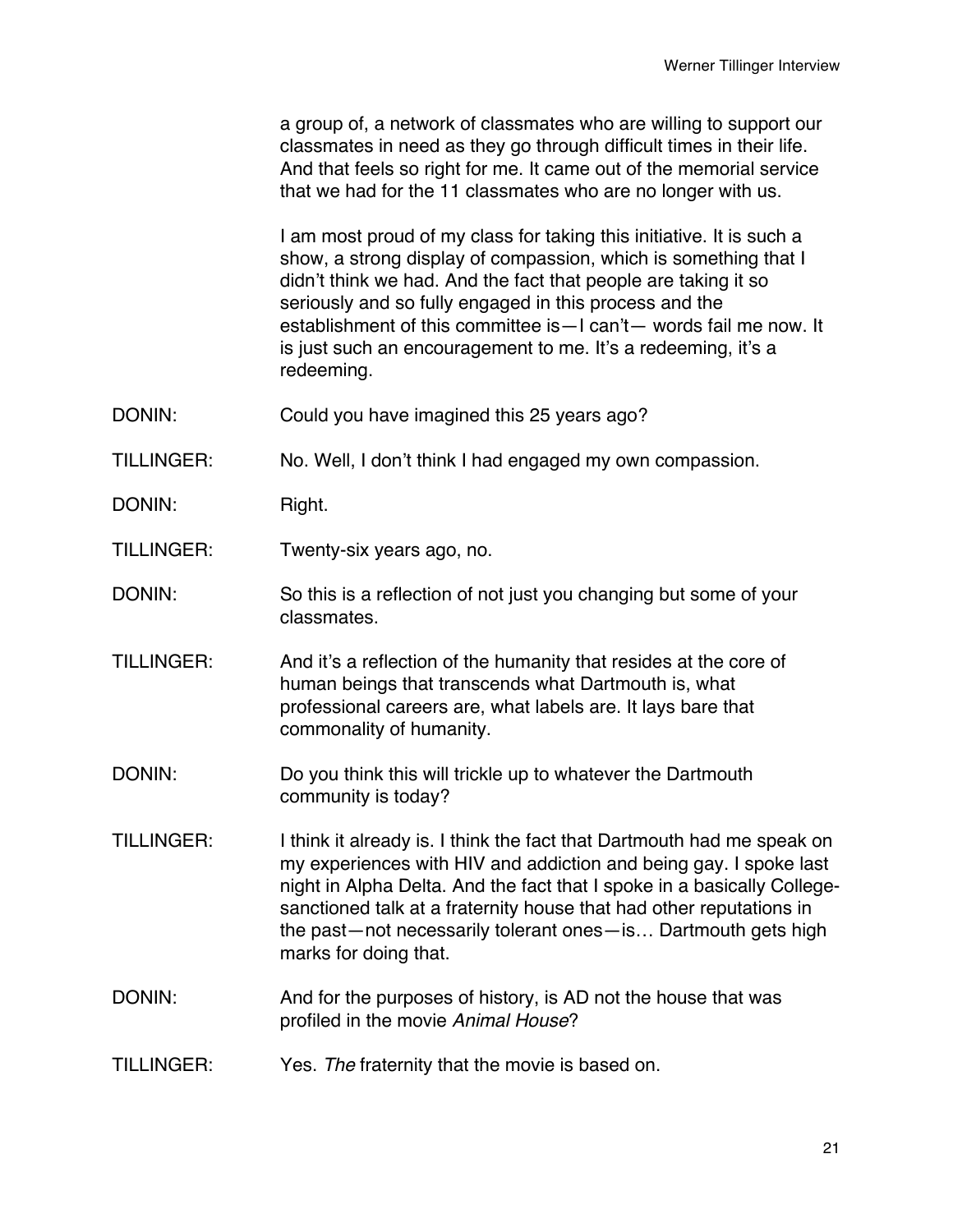a group of, a network of classmates who are willing to support our classmates in need as they go through difficult times in their life. And that feels so right for me. It came out of the memorial service that we had for the 11 classmates who are no longer with us.

I am most proud of my class for taking this initiative. It is such a show, a strong display of compassion, which is something that I didn't think we had. And the fact that people are taking it so seriously and so fully engaged in this process and the establishment of this committee is—I can't— words fail me now. It is just such an encouragement to me. It's a redeeming, it's a redeeming.

- DONIN: Could you have imagined this 25 years ago?
- TILLINGER: No. Well, I don't think I had engaged my own compassion.
- DONIN: Right.
- TILLINGER: Twenty-six years ago, no.
- DONIN: So this is a reflection of not just you changing but some of your classmates.
- TILLINGER: And it's a reflection of the humanity that resides at the core of human beings that transcends what Dartmouth is, what professional careers are, what labels are. It lays bare that commonality of humanity.
- DONIN: Do you think this will trickle up to whatever the Dartmouth community is today?
- TILLINGER: I think it already is. I think the fact that Dartmouth had me speak on my experiences with HIV and addiction and being gay. I spoke last night in Alpha Delta. And the fact that I spoke in a basically Collegesanctioned talk at a fraternity house that had other reputations in the past—not necessarily tolerant ones—is… Dartmouth gets high marks for doing that.
- DONIN: And for the purposes of history, is AD not the house that was profiled in the movie *Animal House*?
- TILLINGER: Yes. *The* fraternity that the movie is based on.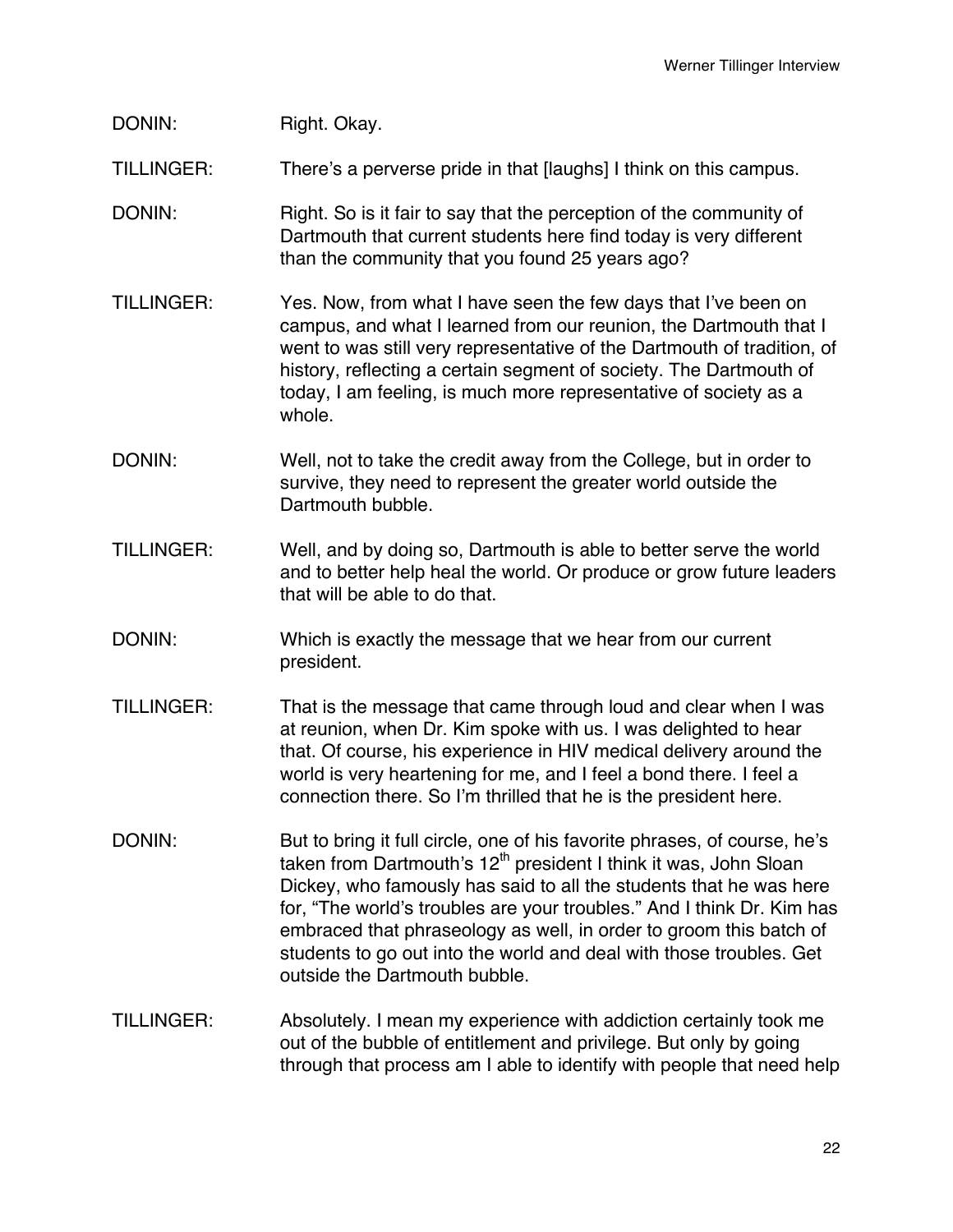## DONIN: Right. Okay.

TILLINGER: There's a perverse pride in that [laughs] I think on this campus.

- DONIN: Right. So is it fair to say that the perception of the community of Dartmouth that current students here find today is very different than the community that you found 25 years ago?
- TILLINGER: Yes. Now, from what I have seen the few days that I've been on campus, and what I learned from our reunion, the Dartmouth that I went to was still very representative of the Dartmouth of tradition, of history, reflecting a certain segment of society. The Dartmouth of today, I am feeling, is much more representative of society as a whole.
- DONIN: Well, not to take the credit away from the College, but in order to survive, they need to represent the greater world outside the Dartmouth bubble.
- TILLINGER: Well, and by doing so, Dartmouth is able to better serve the world and to better help heal the world. Or produce or grow future leaders that will be able to do that.
- DONIN: Which is exactly the message that we hear from our current president.
- TILLINGER: That is the message that came through loud and clear when I was at reunion, when Dr. Kim spoke with us. I was delighted to hear that. Of course, his experience in HIV medical delivery around the world is very heartening for me, and I feel a bond there. I feel a connection there. So I'm thrilled that he is the president here.
- DONIN: But to bring it full circle, one of his favorite phrases, of course, he's taken from Dartmouth's 12<sup>th</sup> president I think it was, John Sloan Dickey, who famously has said to all the students that he was here for, "The world's troubles are your troubles." And I think Dr. Kim has embraced that phraseology as well, in order to groom this batch of students to go out into the world and deal with those troubles. Get outside the Dartmouth bubble.
- TILLINGER: Absolutely. I mean my experience with addiction certainly took me out of the bubble of entitlement and privilege. But only by going through that process am I able to identify with people that need help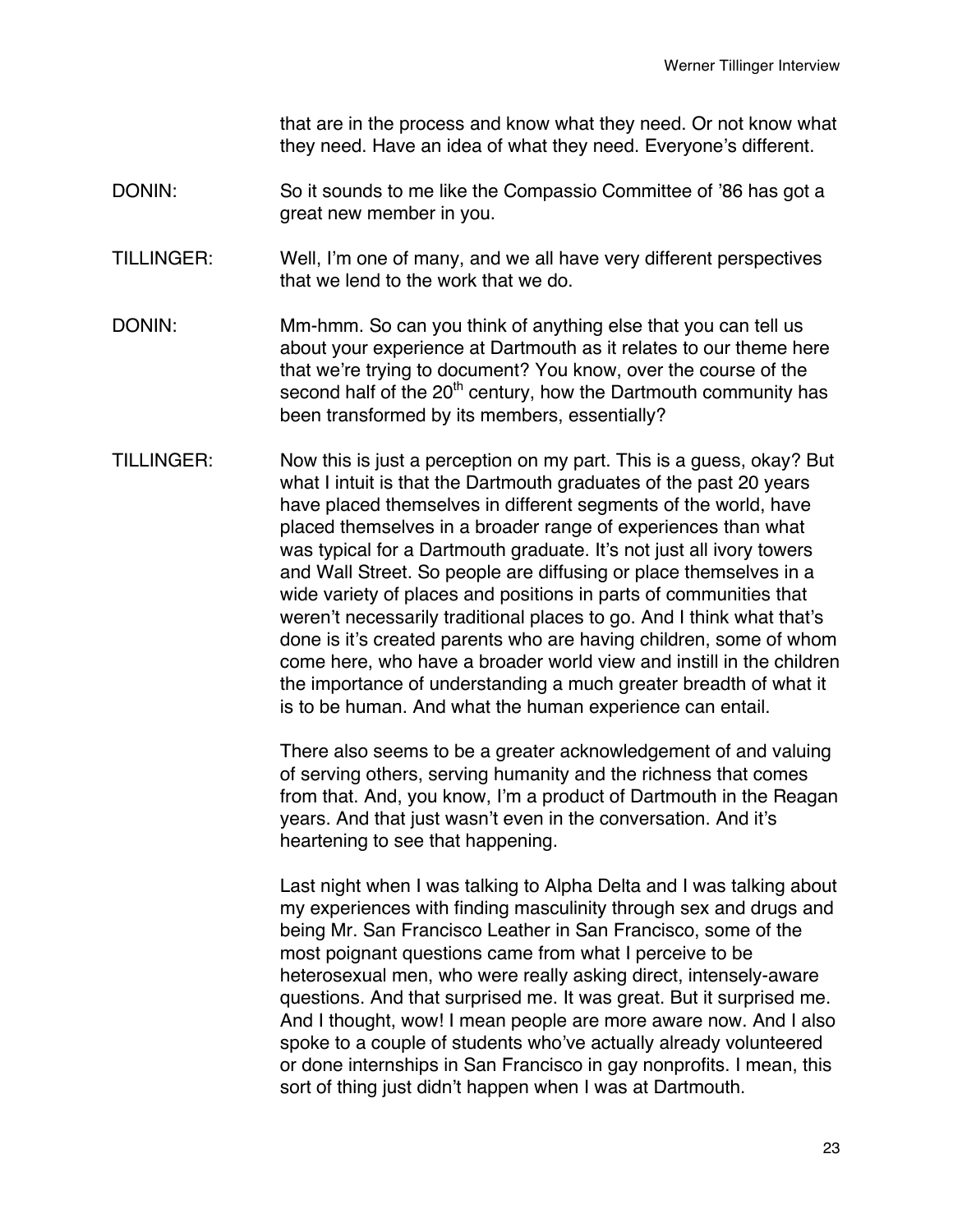that are in the process and know what they need. Or not know what they need. Have an idea of what they need. Everyone's different.

- DONIN: So it sounds to me like the Compassio Committee of '86 has got a great new member in you.
- TILLINGER: Well, I'm one of many, and we all have very different perspectives that we lend to the work that we do.
- DONIN: Mm-hmm. So can you think of anything else that you can tell us about your experience at Dartmouth as it relates to our theme here that we're trying to document? You know, over the course of the second half of the  $20<sup>th</sup>$  century, how the Dartmouth community has been transformed by its members, essentially?
- TILLINGER: Now this is just a perception on my part. This is a guess, okay? But what I intuit is that the Dartmouth graduates of the past 20 years have placed themselves in different segments of the world, have placed themselves in a broader range of experiences than what was typical for a Dartmouth graduate. It's not just all ivory towers and Wall Street. So people are diffusing or place themselves in a wide variety of places and positions in parts of communities that weren't necessarily traditional places to go. And I think what that's done is it's created parents who are having children, some of whom come here, who have a broader world view and instill in the children the importance of understanding a much greater breadth of what it is to be human. And what the human experience can entail.

There also seems to be a greater acknowledgement of and valuing of serving others, serving humanity and the richness that comes from that. And, you know, I'm a product of Dartmouth in the Reagan years. And that just wasn't even in the conversation. And it's heartening to see that happening.

Last night when I was talking to Alpha Delta and I was talking about my experiences with finding masculinity through sex and drugs and being Mr. San Francisco Leather in San Francisco, some of the most poignant questions came from what I perceive to be heterosexual men, who were really asking direct, intensely-aware questions. And that surprised me. It was great. But it surprised me. And I thought, wow! I mean people are more aware now. And I also spoke to a couple of students who've actually already volunteered or done internships in San Francisco in gay nonprofits. I mean, this sort of thing just didn't happen when I was at Dartmouth.